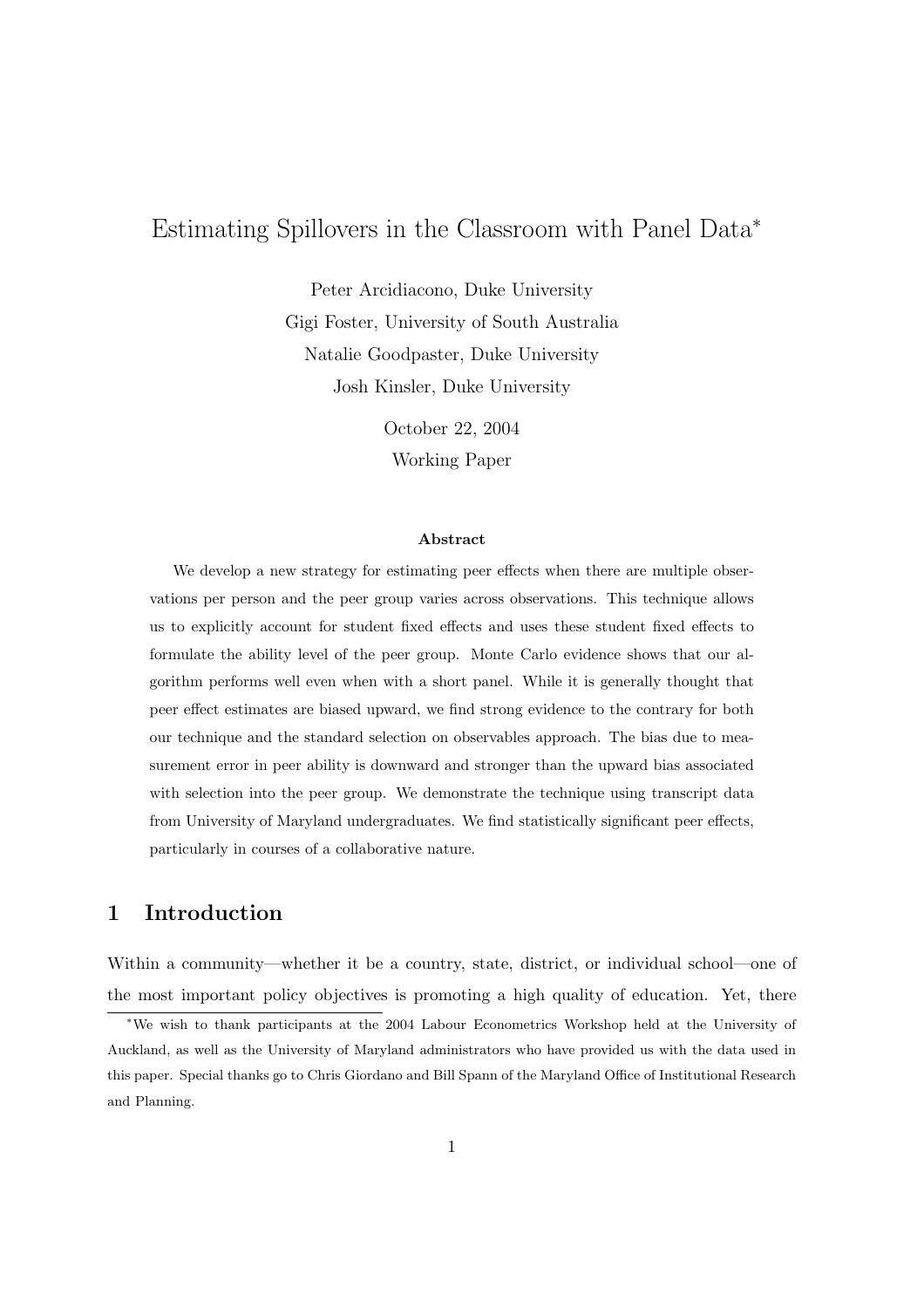# Estimating Spillovers in the Classroom with Panel Data<sup>∗</sup>

Peter Arcidiacono, Duke University Gigi Foster, University of South Australia Natalie Goodpaster, Duke University Josh Kinsler, Duke University

> October 22, 2004 Working Paper

#### Abstract

We develop a new strategy for estimating peer effects when there are multiple observations per person and the peer group varies across observations. This technique allows us to explicitly account for student fixed effects and uses these student fixed effects to formulate the ability level of the peer group. Monte Carlo evidence shows that our algorithm performs well even when with a short panel. While it is generally thought that peer effect estimates are biased upward, we find strong evidence to the contrary for both our technique and the standard selection on observables approach. The bias due to measurement error in peer ability is downward and stronger than the upward bias associated with selection into the peer group. We demonstrate the technique using transcript data from University of Maryland undergraduates. We find statistically significant peer effects, particularly in courses of a collaborative nature.

# 1 Introduction

Within a community—whether it be a country, state, district, or individual school—one of the most important policy objectives is promoting a high quality of education. Yet, there

<sup>∗</sup>We wish to thank participants at the 2004 Labour Econometrics Workshop held at the University of Auckland, as well as the University of Maryland administrators who have provided us with the data used in this paper. Special thanks go to Chris Giordano and Bill Spann of the Maryland Office of Institutional Research and Planning.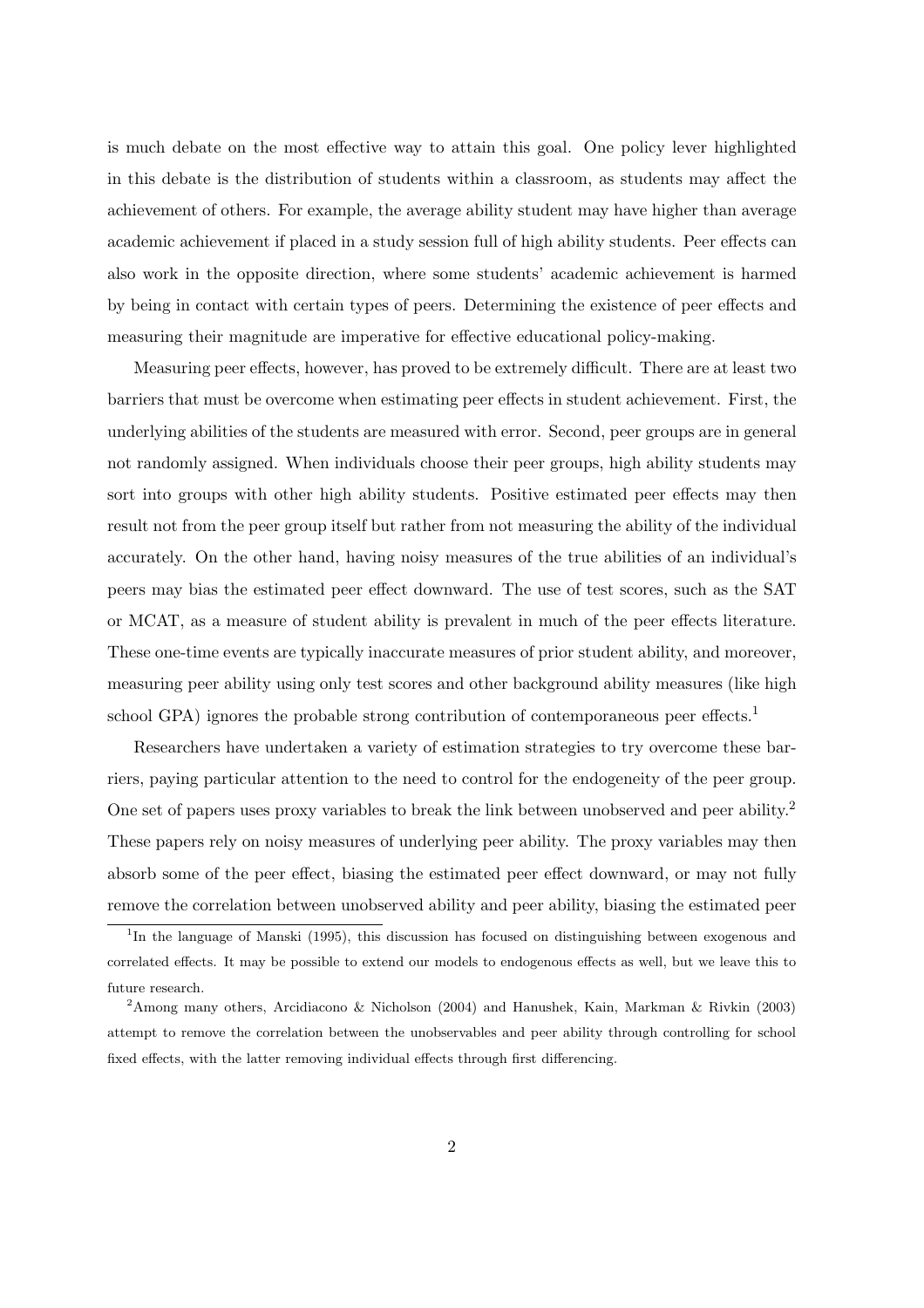is much debate on the most effective way to attain this goal. One policy lever highlighted in this debate is the distribution of students within a classroom, as students may affect the achievement of others. For example, the average ability student may have higher than average academic achievement if placed in a study session full of high ability students. Peer effects can also work in the opposite direction, where some students' academic achievement is harmed by being in contact with certain types of peers. Determining the existence of peer effects and measuring their magnitude are imperative for effective educational policy-making.

Measuring peer effects, however, has proved to be extremely difficult. There are at least two barriers that must be overcome when estimating peer effects in student achievement. First, the underlying abilities of the students are measured with error. Second, peer groups are in general not randomly assigned. When individuals choose their peer groups, high ability students may sort into groups with other high ability students. Positive estimated peer effects may then result not from the peer group itself but rather from not measuring the ability of the individual accurately. On the other hand, having noisy measures of the true abilities of an individual's peers may bias the estimated peer effect downward. The use of test scores, such as the SAT or MCAT, as a measure of student ability is prevalent in much of the peer effects literature. These one-time events are typically inaccurate measures of prior student ability, and moreover, measuring peer ability using only test scores and other background ability measures (like high school GPA) ignores the probable strong contribution of contemporaneous peer effects.<sup>1</sup>

Researchers have undertaken a variety of estimation strategies to try overcome these barriers, paying particular attention to the need to control for the endogeneity of the peer group. One set of papers uses proxy variables to break the link between unobserved and peer ability.<sup>2</sup> These papers rely on noisy measures of underlying peer ability. The proxy variables may then absorb some of the peer effect, biasing the estimated peer effect downward, or may not fully remove the correlation between unobserved ability and peer ability, biasing the estimated peer

<sup>&</sup>lt;sup>1</sup>In the language of Manski (1995), this discussion has focused on distinguishing between exogenous and correlated effects. It may be possible to extend our models to endogenous effects as well, but we leave this to future research.

<sup>&</sup>lt;sup>2</sup>Among many others, Arcidiacono & Nicholson (2004) and Hanushek, Kain, Markman & Rivkin (2003) attempt to remove the correlation between the unobservables and peer ability through controlling for school fixed effects, with the latter removing individual effects through first differencing.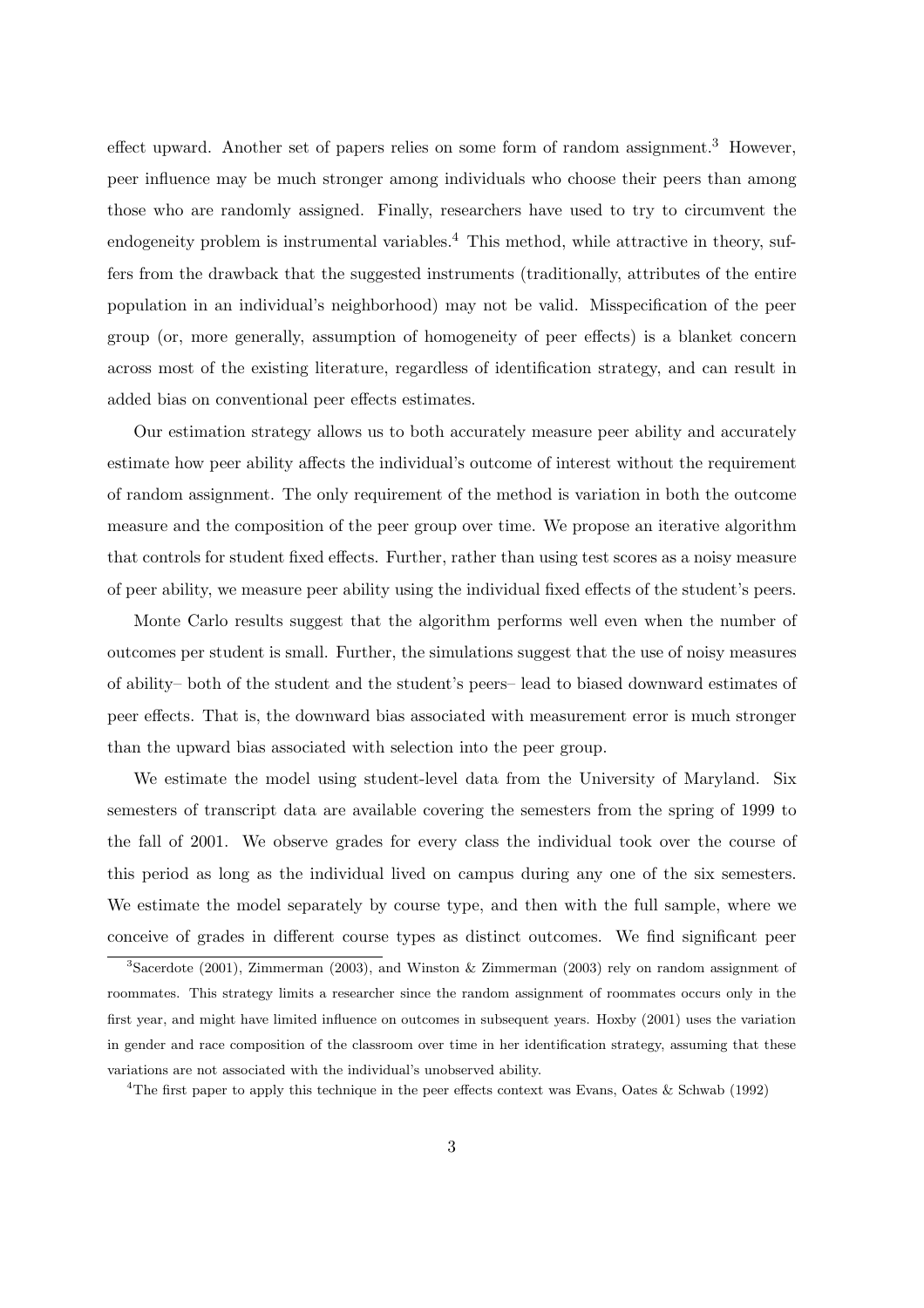effect upward. Another set of papers relies on some form of random assignment.<sup>3</sup> However, peer influence may be much stronger among individuals who choose their peers than among those who are randomly assigned. Finally, researchers have used to try to circumvent the endogeneity problem is instrumental variables.<sup>4</sup> This method, while attractive in theory, suffers from the drawback that the suggested instruments (traditionally, attributes of the entire population in an individual's neighborhood) may not be valid. Misspecification of the peer group (or, more generally, assumption of homogeneity of peer effects) is a blanket concern across most of the existing literature, regardless of identification strategy, and can result in added bias on conventional peer effects estimates.

Our estimation strategy allows us to both accurately measure peer ability and accurately estimate how peer ability affects the individual's outcome of interest without the requirement of random assignment. The only requirement of the method is variation in both the outcome measure and the composition of the peer group over time. We propose an iterative algorithm that controls for student fixed effects. Further, rather than using test scores as a noisy measure of peer ability, we measure peer ability using the individual fixed effects of the student's peers.

Monte Carlo results suggest that the algorithm performs well even when the number of outcomes per student is small. Further, the simulations suggest that the use of noisy measures of ability– both of the student and the student's peers– lead to biased downward estimates of peer effects. That is, the downward bias associated with measurement error is much stronger than the upward bias associated with selection into the peer group.

We estimate the model using student-level data from the University of Maryland. Six semesters of transcript data are available covering the semesters from the spring of 1999 to the fall of 2001. We observe grades for every class the individual took over the course of this period as long as the individual lived on campus during any one of the six semesters. We estimate the model separately by course type, and then with the full sample, where we conceive of grades in different course types as distinct outcomes. We find significant peer

<sup>4</sup>The first paper to apply this technique in the peer effects context was Evans, Oates & Schwab (1992)

<sup>&</sup>lt;sup>3</sup>Sacerdote (2001), Zimmerman (2003), and Winston & Zimmerman (2003) rely on random assignment of roommates. This strategy limits a researcher since the random assignment of roommates occurs only in the first year, and might have limited influence on outcomes in subsequent years. Hoxby (2001) uses the variation in gender and race composition of the classroom over time in her identification strategy, assuming that these variations are not associated with the individual's unobserved ability.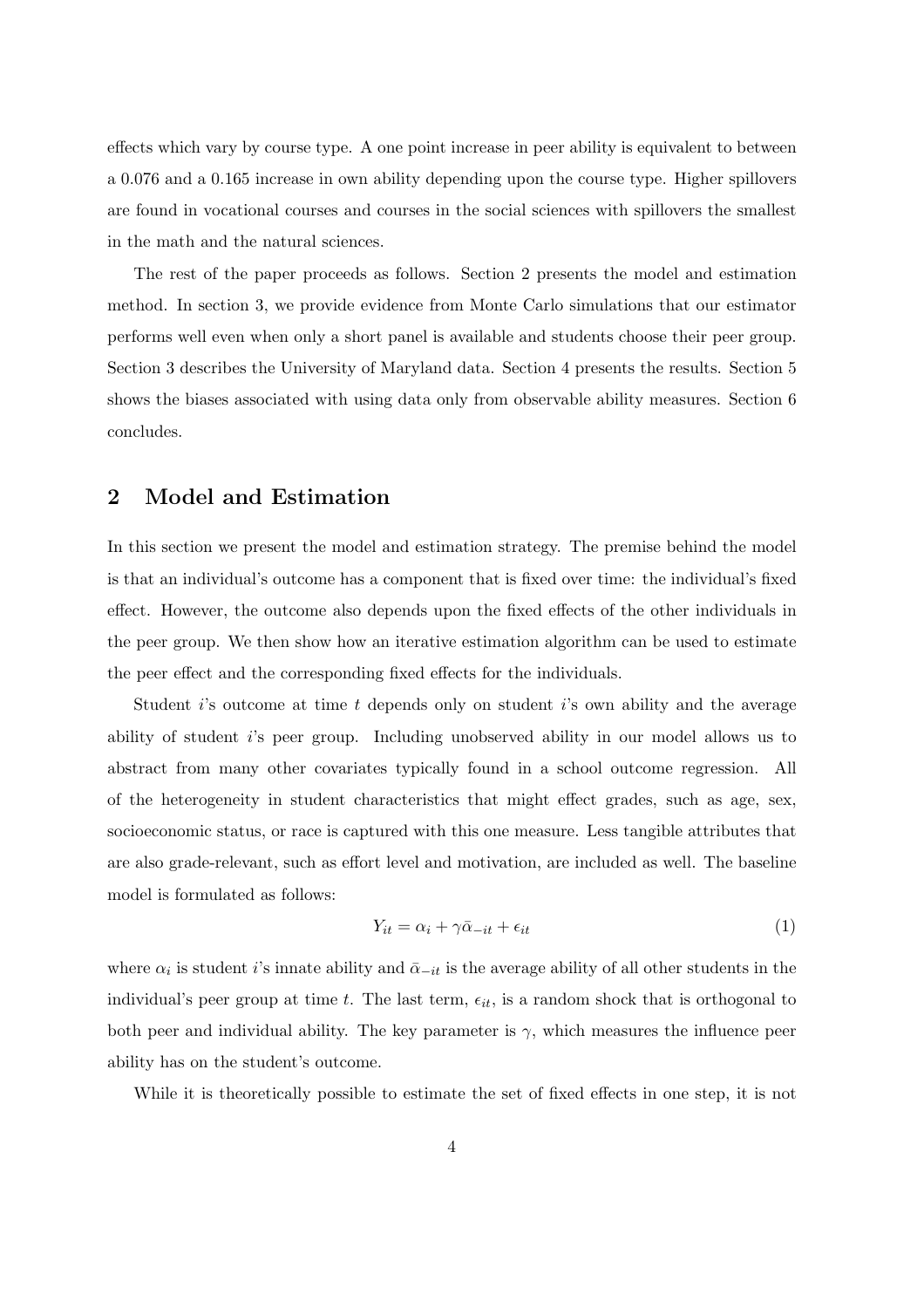effects which vary by course type. A one point increase in peer ability is equivalent to between a 0.076 and a 0.165 increase in own ability depending upon the course type. Higher spillovers are found in vocational courses and courses in the social sciences with spillovers the smallest in the math and the natural sciences.

The rest of the paper proceeds as follows. Section 2 presents the model and estimation method. In section 3, we provide evidence from Monte Carlo simulations that our estimator performs well even when only a short panel is available and students choose their peer group. Section 3 describes the University of Maryland data. Section 4 presents the results. Section 5 shows the biases associated with using data only from observable ability measures. Section 6 concludes.

#### 2 Model and Estimation

In this section we present the model and estimation strategy. The premise behind the model is that an individual's outcome has a component that is fixed over time: the individual's fixed effect. However, the outcome also depends upon the fixed effects of the other individuals in the peer group. We then show how an iterative estimation algorithm can be used to estimate the peer effect and the corresponding fixed effects for the individuals.

Student is outcome at time t depends only on student is own ability and the average ability of student i's peer group. Including unobserved ability in our model allows us to abstract from many other covariates typically found in a school outcome regression. All of the heterogeneity in student characteristics that might effect grades, such as age, sex, socioeconomic status, or race is captured with this one measure. Less tangible attributes that are also grade-relevant, such as effort level and motivation, are included as well. The baseline model is formulated as follows:

$$
Y_{it} = \alpha_i + \gamma \bar{\alpha}_{-it} + \epsilon_{it} \tag{1}
$$

where  $\alpha_i$  is student i's innate ability and  $\bar{\alpha}_{-it}$  is the average ability of all other students in the individual's peer group at time t. The last term,  $\epsilon_{it}$ , is a random shock that is orthogonal to both peer and individual ability. The key parameter is  $\gamma$ , which measures the influence peer ability has on the student's outcome.

While it is theoretically possible to estimate the set of fixed effects in one step, it is not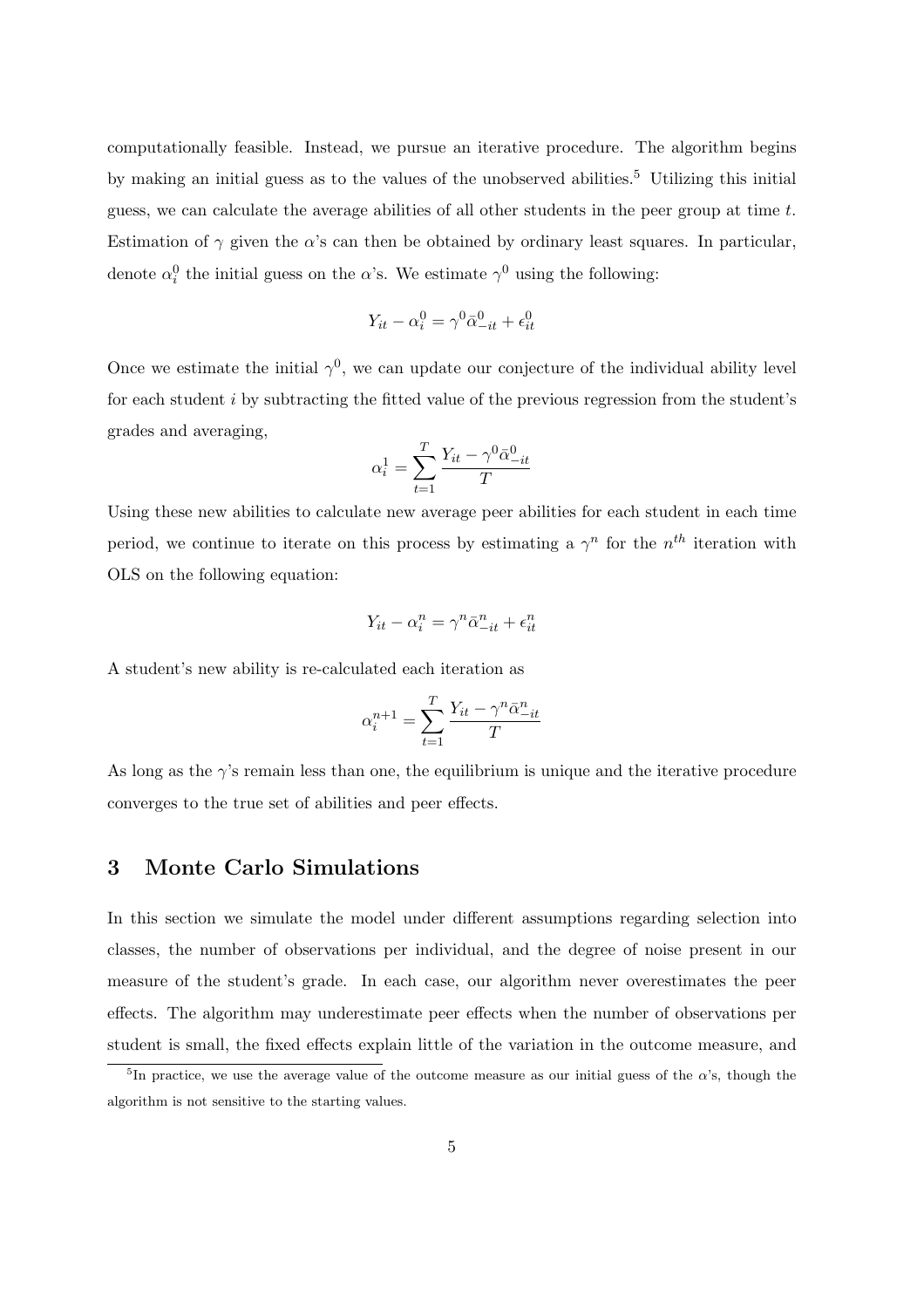computationally feasible. Instead, we pursue an iterative procedure. The algorithm begins by making an initial guess as to the values of the unobserved abilities.<sup>5</sup> Utilizing this initial guess, we can calculate the average abilities of all other students in the peer group at time  $t$ . Estimation of  $\gamma$  given the  $\alpha$ 's can then be obtained by ordinary least squares. In particular, denote  $\alpha_i^0$  the initial guess on the  $\alpha$ 's. We estimate  $\gamma^0$  using the following:

$$
Y_{it} - \alpha_i^0 = \gamma^0 \bar{\alpha}_{-it}^0 + \epsilon_{it}^0
$$

Once we estimate the initial  $\gamma^0$ , we can update our conjecture of the individual ability level for each student i by subtracting the fitted value of the previous regression from the student's grades and averaging,

$$
\alpha_i^1 = \sum_{t=1}^T \frac{Y_{it} - \gamma^0 \bar{\alpha}_{-it}^0}{T}
$$

Using these new abilities to calculate new average peer abilities for each student in each time period, we continue to iterate on this process by estimating a  $\gamma^n$  for the  $n^{th}$  iteration with OLS on the following equation:

$$
Y_{it} - \alpha_i^n = \gamma^n \bar{\alpha}_{-it}^n + \epsilon_{it}^n
$$

A student's new ability is re-calculated each iteration as

$$
\alpha_i^{n+1} = \sum_{t=1}^T \frac{Y_{it} - \gamma^n \bar{\alpha}_{-it}^n}{T}
$$

As long as the  $\gamma$ 's remain less than one, the equilibrium is unique and the iterative procedure converges to the true set of abilities and peer effects.

#### 3 Monte Carlo Simulations

In this section we simulate the model under different assumptions regarding selection into classes, the number of observations per individual, and the degree of noise present in our measure of the student's grade. In each case, our algorithm never overestimates the peer effects. The algorithm may underestimate peer effects when the number of observations per student is small, the fixed effects explain little of the variation in the outcome measure, and

<sup>&</sup>lt;sup>5</sup>In practice, we use the average value of the outcome measure as our initial guess of the  $\alpha$ 's, though the algorithm is not sensitive to the starting values.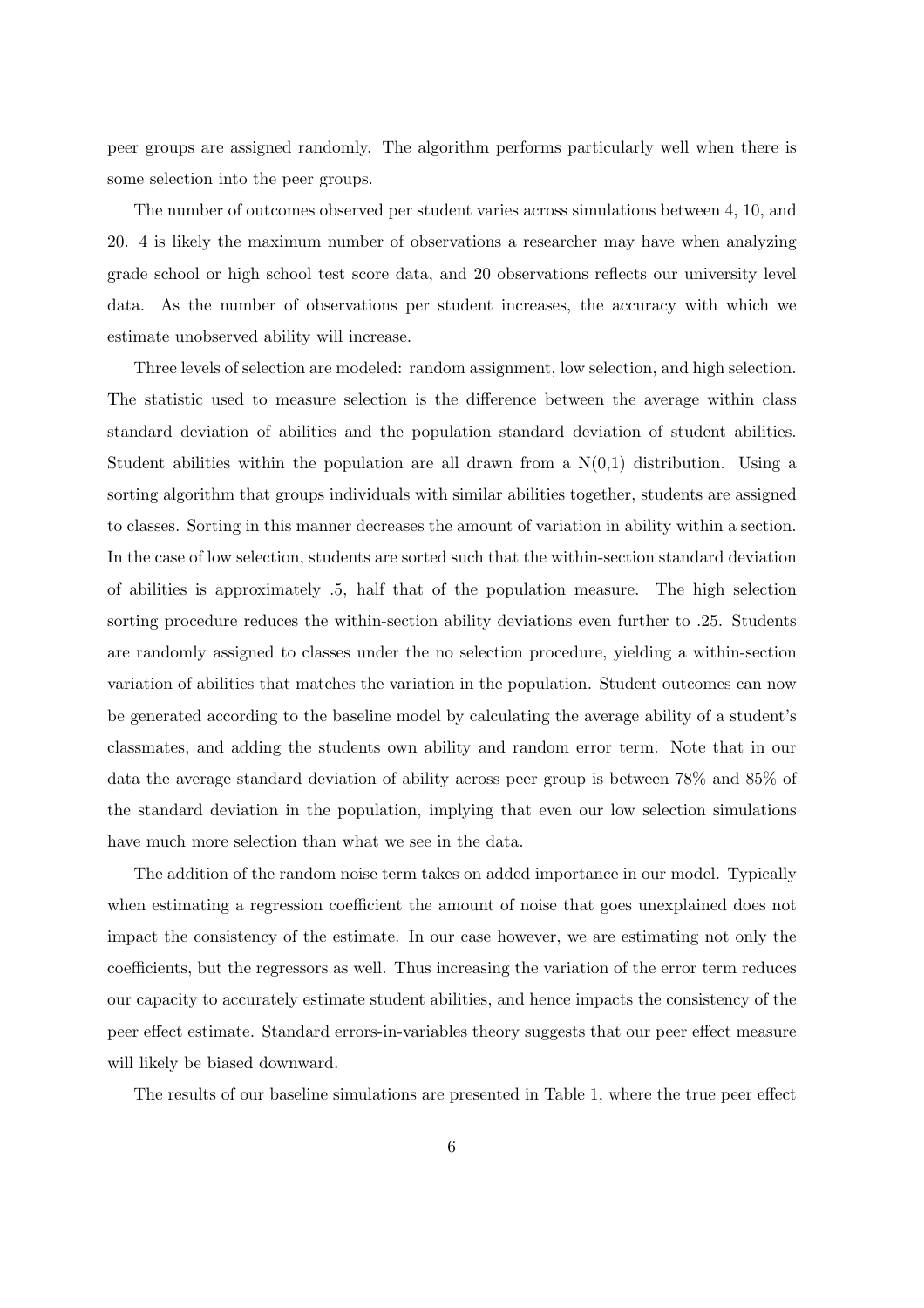peer groups are assigned randomly. The algorithm performs particularly well when there is some selection into the peer groups.

The number of outcomes observed per student varies across simulations between 4, 10, and 20. 4 is likely the maximum number of observations a researcher may have when analyzing grade school or high school test score data, and 20 observations reflects our university level data. As the number of observations per student increases, the accuracy with which we estimate unobserved ability will increase.

Three levels of selection are modeled: random assignment, low selection, and high selection. The statistic used to measure selection is the difference between the average within class standard deviation of abilities and the population standard deviation of student abilities. Student abilities within the population are all drawn from a  $N(0,1)$  distribution. Using a sorting algorithm that groups individuals with similar abilities together, students are assigned to classes. Sorting in this manner decreases the amount of variation in ability within a section. In the case of low selection, students are sorted such that the within-section standard deviation of abilities is approximately .5, half that of the population measure. The high selection sorting procedure reduces the within-section ability deviations even further to .25. Students are randomly assigned to classes under the no selection procedure, yielding a within-section variation of abilities that matches the variation in the population. Student outcomes can now be generated according to the baseline model by calculating the average ability of a student's classmates, and adding the students own ability and random error term. Note that in our data the average standard deviation of ability across peer group is between 78% and 85% of the standard deviation in the population, implying that even our low selection simulations have much more selection than what we see in the data.

The addition of the random noise term takes on added importance in our model. Typically when estimating a regression coefficient the amount of noise that goes unexplained does not impact the consistency of the estimate. In our case however, we are estimating not only the coefficients, but the regressors as well. Thus increasing the variation of the error term reduces our capacity to accurately estimate student abilities, and hence impacts the consistency of the peer effect estimate. Standard errors-in-variables theory suggests that our peer effect measure will likely be biased downward.

The results of our baseline simulations are presented in Table 1, where the true peer effect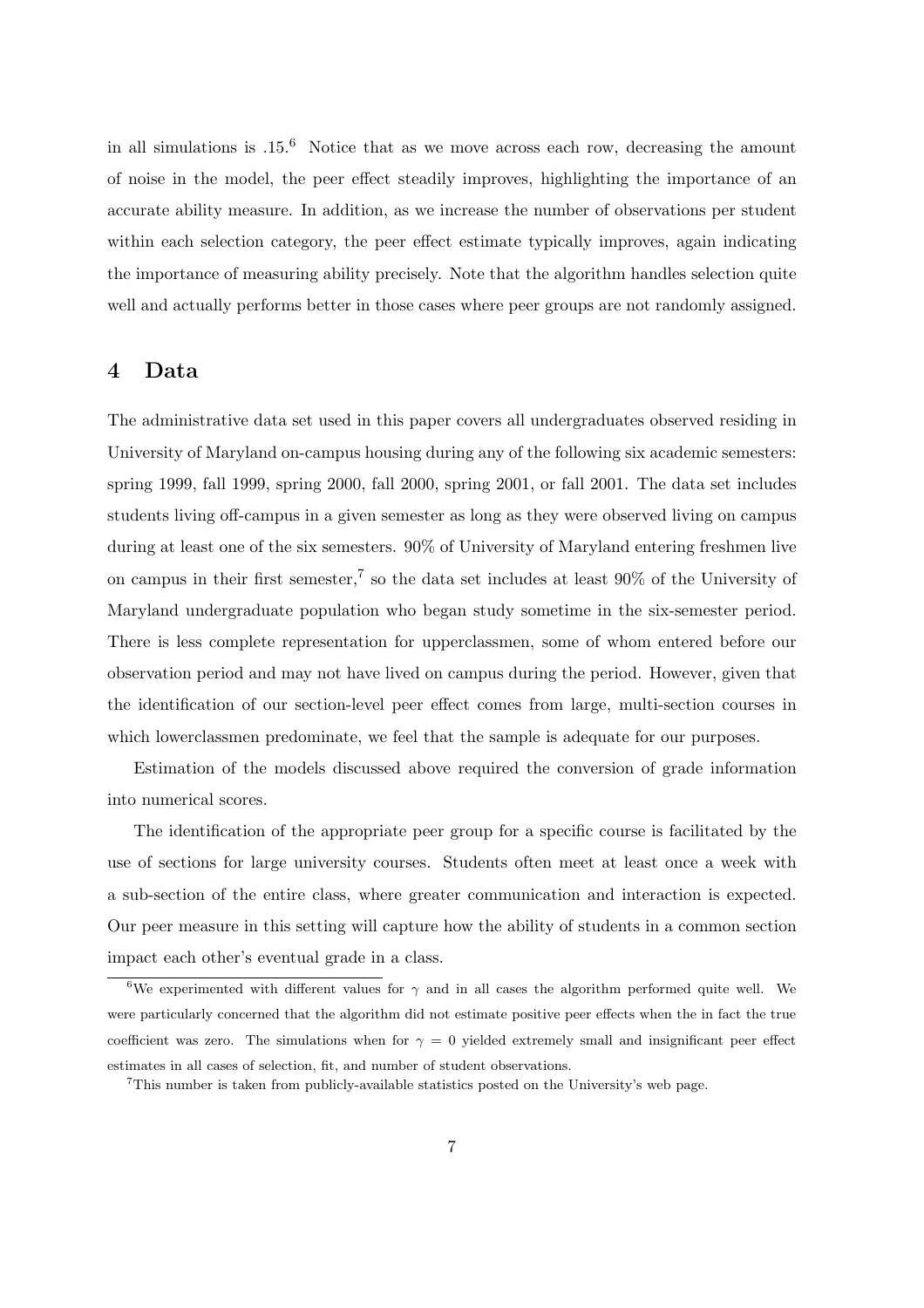in all simulations is  $.15<sup>6</sup>$  Notice that as we move across each row, decreasing the amount of noise in the model, the peer effect steadily improves, highlighting the importance of an accurate ability measure. In addition, as we increase the number of observations per student within each selection category, the peer effect estimate typically improves, again indicating the importance of measuring ability precisely. Note that the algorithm handles selection quite well and actually performs better in those cases where peer groups are not randomly assigned.

### 4 Data

The administrative data set used in this paper covers all undergraduates observed residing in University of Maryland on-campus housing during any of the following six academic semesters: spring 1999, fall 1999, spring 2000, fall 2000, spring 2001, or fall 2001. The data set includes students living off-campus in a given semester as long as they were observed living on campus during at least one of the six semesters. 90% of University of Maryland entering freshmen live on campus in their first semester,<sup>7</sup> so the data set includes at least  $90\%$  of the University of Maryland undergraduate population who began study sometime in the six-semester period. There is less complete representation for upperclassmen, some of whom entered before our observation period and may not have lived on campus during the period. However, given that the identification of our section-level peer effect comes from large, multi-section courses in which lowerclassmen predominate, we feel that the sample is adequate for our purposes.

Estimation of the models discussed above required the conversion of grade information into numerical scores.

The identification of the appropriate peer group for a specific course is facilitated by the use of sections for large university courses. Students often meet at least once a week with a sub-section of the entire class, where greater communication and interaction is expected. Our peer measure in this setting will capture how the ability of students in a common section impact each other's eventual grade in a class.

<sup>&</sup>lt;sup>6</sup>We experimented with different values for  $\gamma$  and in all cases the algorithm performed quite well. We were particularly concerned that the algorithm did not estimate positive peer effects when the in fact the true coefficient was zero. The simulations when for  $\gamma = 0$  yielded extremely small and insignificant peer effect estimates in all cases of selection, fit, and number of student observations.

<sup>7</sup>This number is taken from publicly-available statistics posted on the University's web page.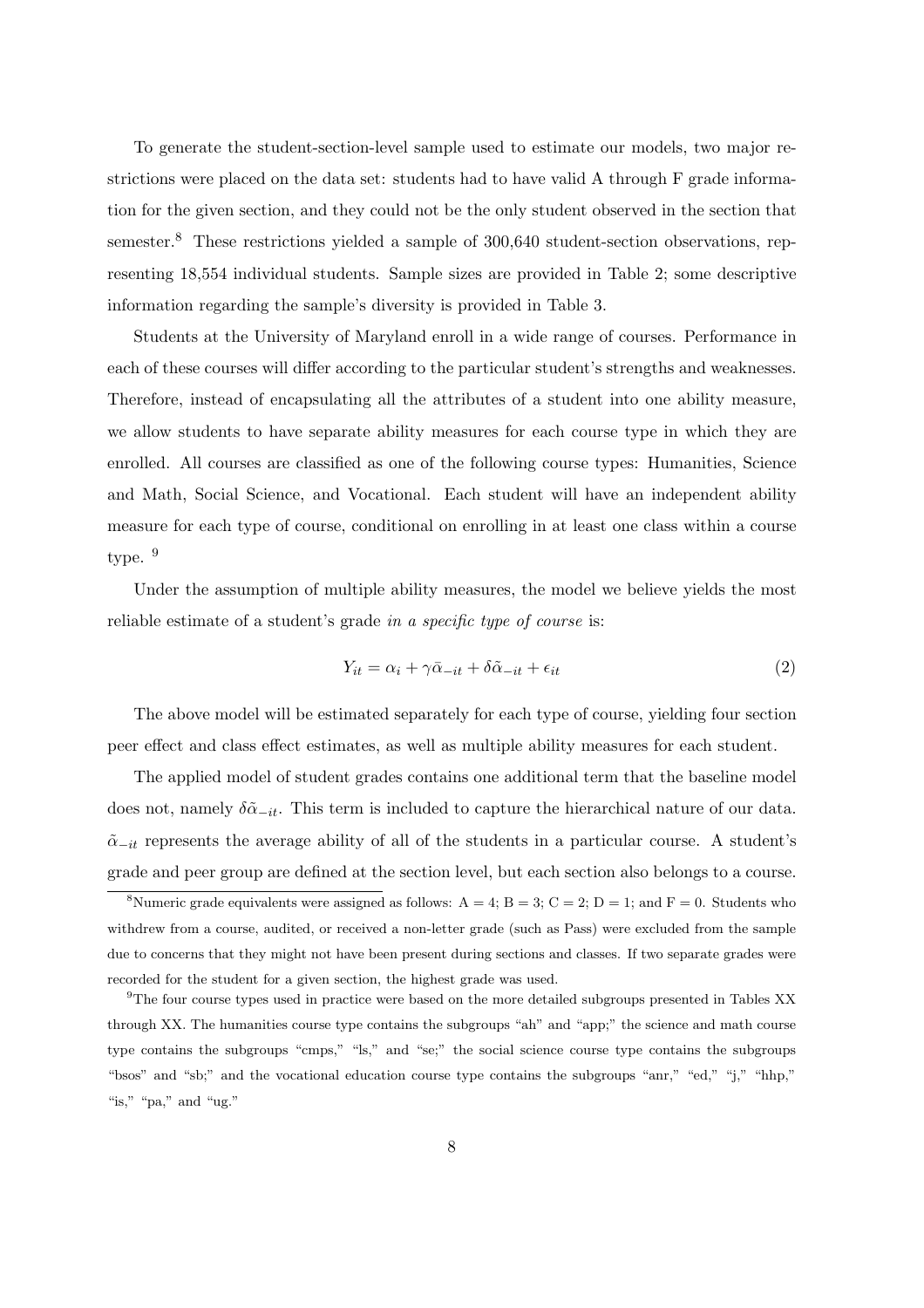To generate the student-section-level sample used to estimate our models, two major restrictions were placed on the data set: students had to have valid A through F grade information for the given section, and they could not be the only student observed in the section that semester.<sup>8</sup> These restrictions yielded a sample of 300,640 student-section observations, representing 18,554 individual students. Sample sizes are provided in Table 2; some descriptive information regarding the sample's diversity is provided in Table 3.

Students at the University of Maryland enroll in a wide range of courses. Performance in each of these courses will differ according to the particular student's strengths and weaknesses. Therefore, instead of encapsulating all the attributes of a student into one ability measure, we allow students to have separate ability measures for each course type in which they are enrolled. All courses are classified as one of the following course types: Humanities, Science and Math, Social Science, and Vocational. Each student will have an independent ability measure for each type of course, conditional on enrolling in at least one class within a course type.  $9$ 

Under the assumption of multiple ability measures, the model we believe yields the most reliable estimate of a student's grade in a specific type of course is:

$$
Y_{it} = \alpha_i + \gamma \bar{\alpha}_{-it} + \delta \tilde{\alpha}_{-it} + \epsilon_{it}
$$
\n<sup>(2)</sup>

The above model will be estimated separately for each type of course, yielding four section peer effect and class effect estimates, as well as multiple ability measures for each student.

The applied model of student grades contains one additional term that the baseline model does not, namely  $\delta\tilde{\alpha}_{-it}$ . This term is included to capture the hierarchical nature of our data.  $\tilde{\alpha}_{-it}$  represents the average ability of all of the students in a particular course. A student's grade and peer group are defined at the section level, but each section also belongs to a course.

<sup>&</sup>lt;sup>8</sup>Numeric grade equivalents were assigned as follows:  $A = 4$ ;  $B = 3$ ;  $C = 2$ ;  $D = 1$ ; and  $F = 0$ . Students who withdrew from a course, audited, or received a non-letter grade (such as Pass) were excluded from the sample due to concerns that they might not have been present during sections and classes. If two separate grades were recorded for the student for a given section, the highest grade was used.

<sup>9</sup>The four course types used in practice were based on the more detailed subgroups presented in Tables XX through XX. The humanities course type contains the subgroups "ah" and "app;" the science and math course type contains the subgroups "cmps," "ls," and "se;" the social science course type contains the subgroups "bsos" and "sb;" and the vocational education course type contains the subgroups "anr," "ed," "j," "hhp," "is," "pa," and "ug."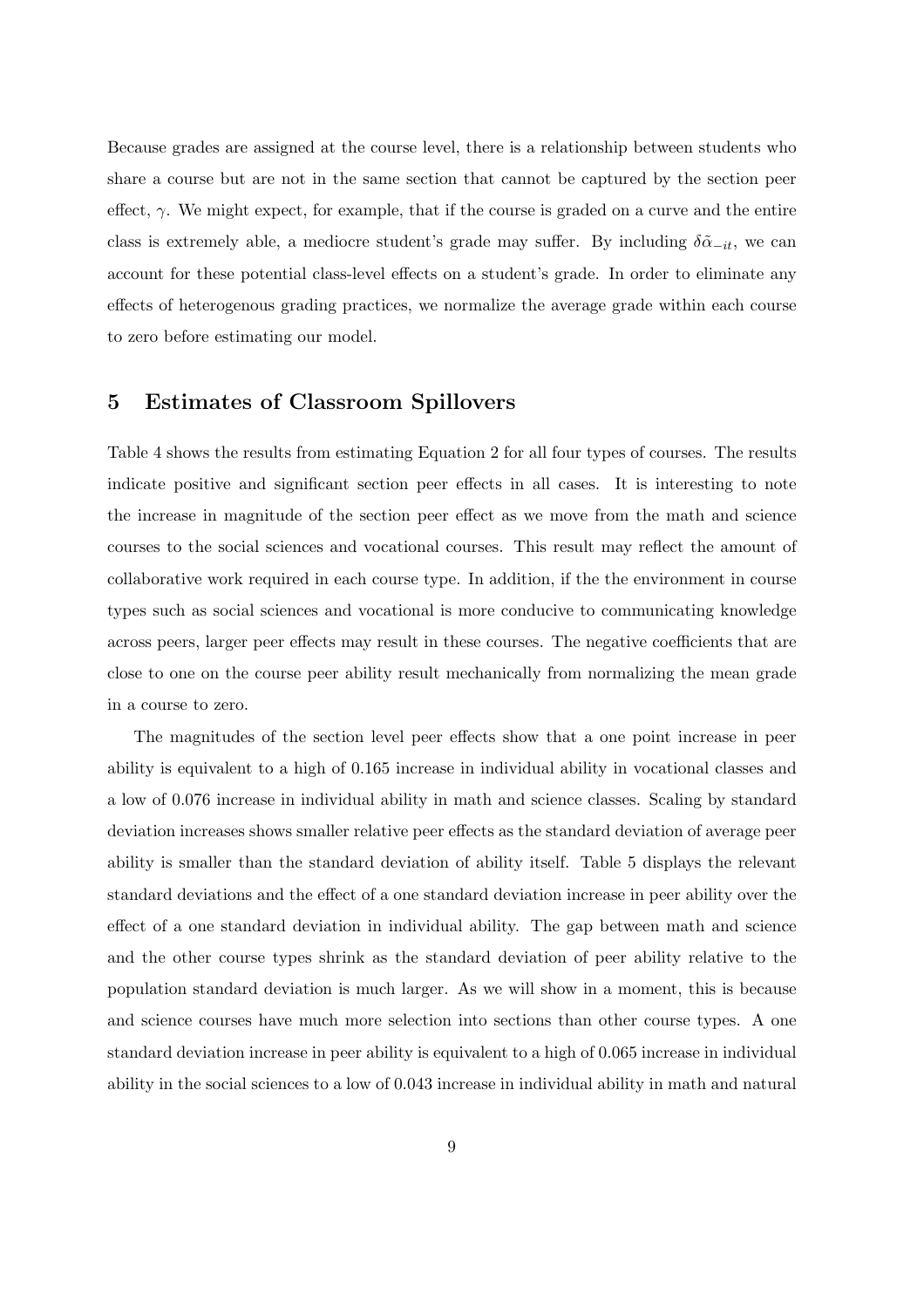Because grades are assigned at the course level, there is a relationship between students who share a course but are not in the same section that cannot be captured by the section peer effect,  $\gamma$ . We might expect, for example, that if the course is graded on a curve and the entire class is extremely able, a mediocre student's grade may suffer. By including  $\delta\tilde{\alpha}_{-it}$ , we can account for these potential class-level effects on a student's grade. In order to eliminate any effects of heterogenous grading practices, we normalize the average grade within each course to zero before estimating our model.

# 5 Estimates of Classroom Spillovers

Table 4 shows the results from estimating Equation 2 for all four types of courses. The results indicate positive and significant section peer effects in all cases. It is interesting to note the increase in magnitude of the section peer effect as we move from the math and science courses to the social sciences and vocational courses. This result may reflect the amount of collaborative work required in each course type. In addition, if the the environment in course types such as social sciences and vocational is more conducive to communicating knowledge across peers, larger peer effects may result in these courses. The negative coefficients that are close to one on the course peer ability result mechanically from normalizing the mean grade in a course to zero.

The magnitudes of the section level peer effects show that a one point increase in peer ability is equivalent to a high of 0.165 increase in individual ability in vocational classes and a low of 0.076 increase in individual ability in math and science classes. Scaling by standard deviation increases shows smaller relative peer effects as the standard deviation of average peer ability is smaller than the standard deviation of ability itself. Table 5 displays the relevant standard deviations and the effect of a one standard deviation increase in peer ability over the effect of a one standard deviation in individual ability. The gap between math and science and the other course types shrink as the standard deviation of peer ability relative to the population standard deviation is much larger. As we will show in a moment, this is because and science courses have much more selection into sections than other course types. A one standard deviation increase in peer ability is equivalent to a high of 0.065 increase in individual ability in the social sciences to a low of 0.043 increase in individual ability in math and natural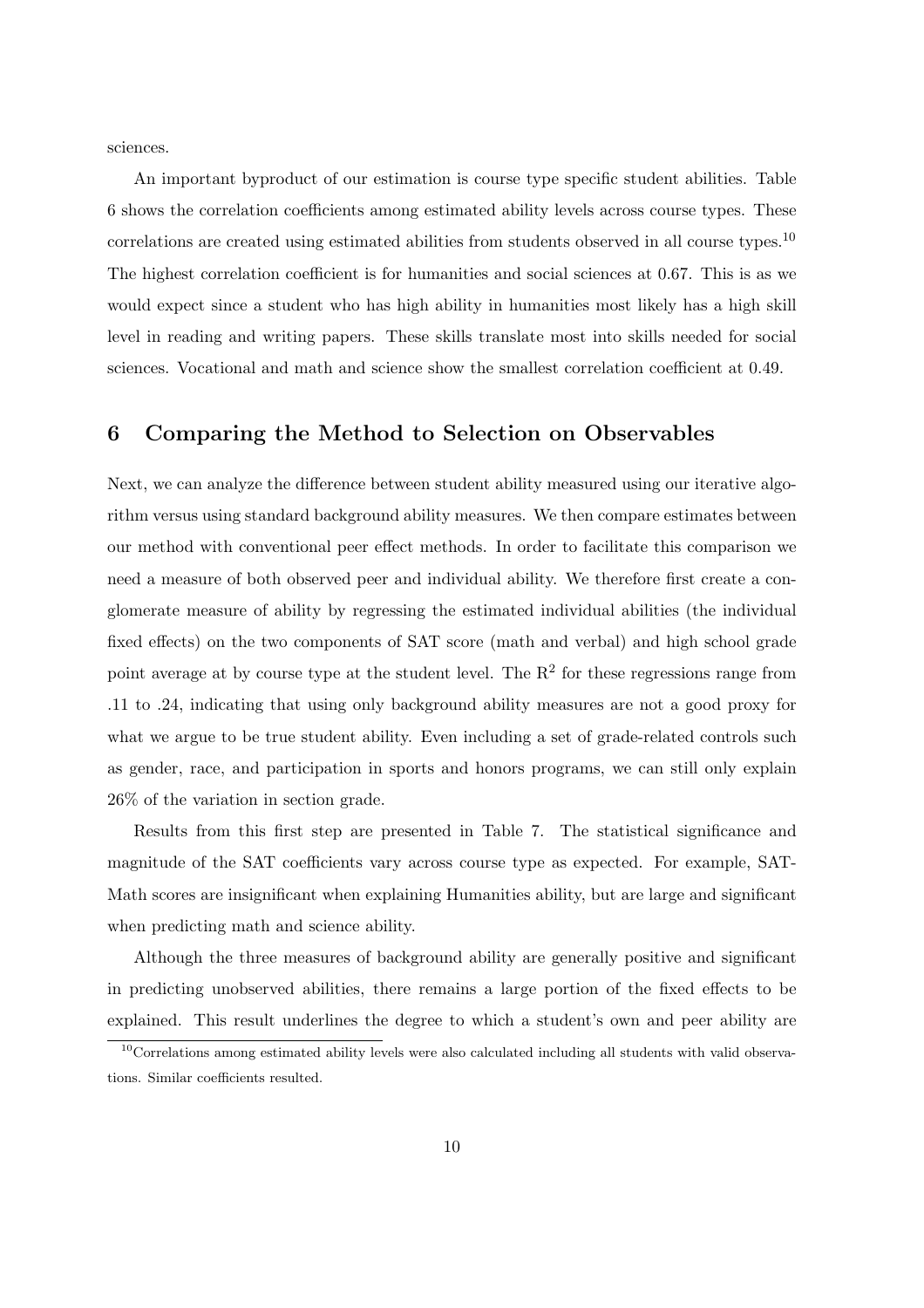sciences.

An important byproduct of our estimation is course type specific student abilities. Table 6 shows the correlation coefficients among estimated ability levels across course types. These correlations are created using estimated abilities from students observed in all course types.<sup>10</sup> The highest correlation coefficient is for humanities and social sciences at 0.67. This is as we would expect since a student who has high ability in humanities most likely has a high skill level in reading and writing papers. These skills translate most into skills needed for social sciences. Vocational and math and science show the smallest correlation coefficient at 0.49.

# 6 Comparing the Method to Selection on Observables

Next, we can analyze the difference between student ability measured using our iterative algorithm versus using standard background ability measures. We then compare estimates between our method with conventional peer effect methods. In order to facilitate this comparison we need a measure of both observed peer and individual ability. We therefore first create a conglomerate measure of ability by regressing the estimated individual abilities (the individual fixed effects) on the two components of SAT score (math and verbal) and high school grade point average at by course type at the student level. The  $R^2$  for these regressions range from .11 to .24, indicating that using only background ability measures are not a good proxy for what we argue to be true student ability. Even including a set of grade-related controls such as gender, race, and participation in sports and honors programs, we can still only explain 26% of the variation in section grade.

Results from this first step are presented in Table 7. The statistical significance and magnitude of the SAT coefficients vary across course type as expected. For example, SAT-Math scores are insignificant when explaining Humanities ability, but are large and significant when predicting math and science ability.

Although the three measures of background ability are generally positive and significant in predicting unobserved abilities, there remains a large portion of the fixed effects to be explained. This result underlines the degree to which a student's own and peer ability are

<sup>&</sup>lt;sup>10</sup>Correlations among estimated ability levels were also calculated including all students with valid observations. Similar coefficients resulted.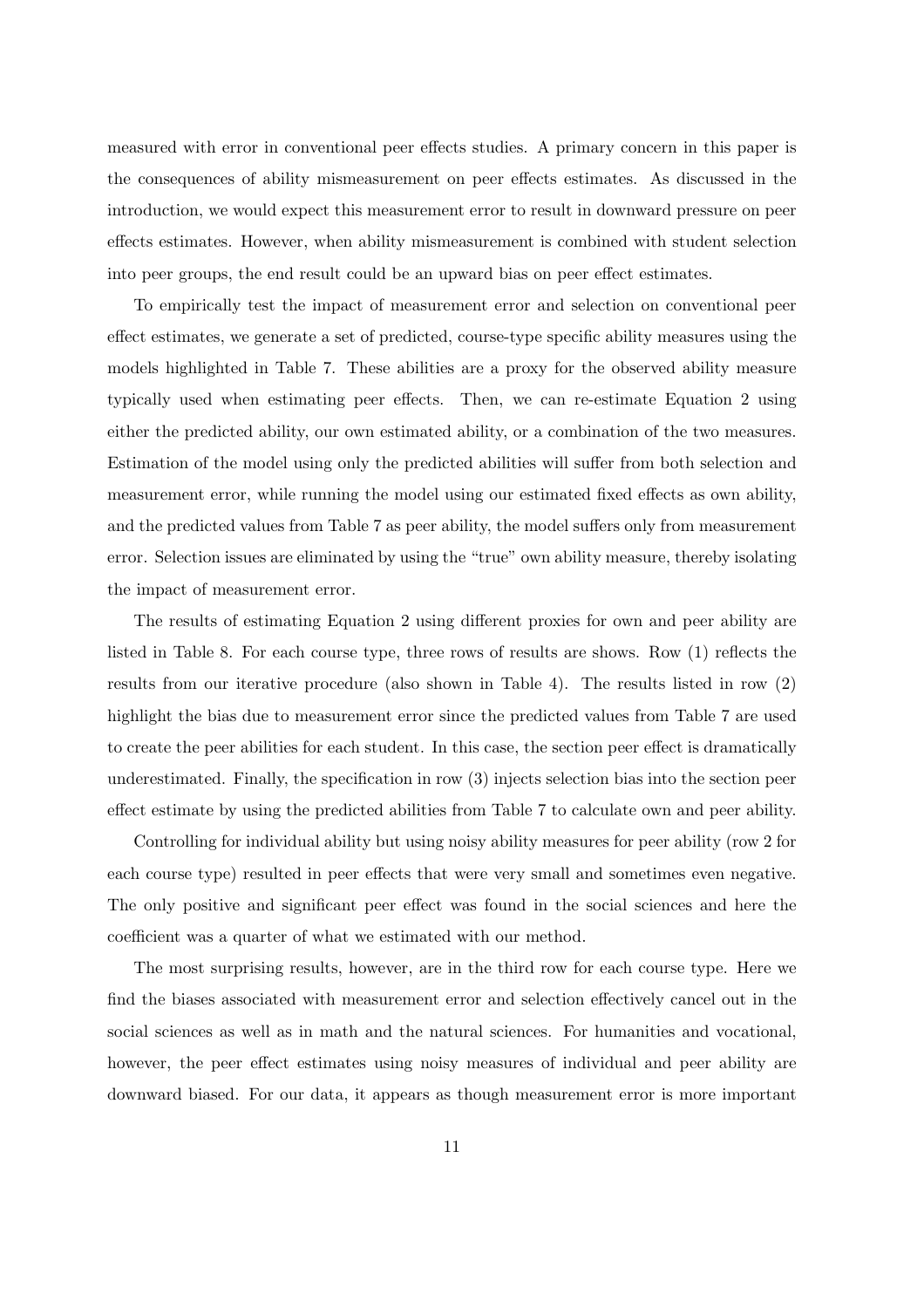measured with error in conventional peer effects studies. A primary concern in this paper is the consequences of ability mismeasurement on peer effects estimates. As discussed in the introduction, we would expect this measurement error to result in downward pressure on peer effects estimates. However, when ability mismeasurement is combined with student selection into peer groups, the end result could be an upward bias on peer effect estimates.

To empirically test the impact of measurement error and selection on conventional peer effect estimates, we generate a set of predicted, course-type specific ability measures using the models highlighted in Table 7. These abilities are a proxy for the observed ability measure typically used when estimating peer effects. Then, we can re-estimate Equation 2 using either the predicted ability, our own estimated ability, or a combination of the two measures. Estimation of the model using only the predicted abilities will suffer from both selection and measurement error, while running the model using our estimated fixed effects as own ability, and the predicted values from Table 7 as peer ability, the model suffers only from measurement error. Selection issues are eliminated by using the "true" own ability measure, thereby isolating the impact of measurement error.

The results of estimating Equation 2 using different proxies for own and peer ability are listed in Table 8. For each course type, three rows of results are shows. Row (1) reflects the results from our iterative procedure (also shown in Table 4). The results listed in row (2) highlight the bias due to measurement error since the predicted values from Table 7 are used to create the peer abilities for each student. In this case, the section peer effect is dramatically underestimated. Finally, the specification in row (3) injects selection bias into the section peer effect estimate by using the predicted abilities from Table 7 to calculate own and peer ability.

Controlling for individual ability but using noisy ability measures for peer ability (row 2 for each course type) resulted in peer effects that were very small and sometimes even negative. The only positive and significant peer effect was found in the social sciences and here the coefficient was a quarter of what we estimated with our method.

The most surprising results, however, are in the third row for each course type. Here we find the biases associated with measurement error and selection effectively cancel out in the social sciences as well as in math and the natural sciences. For humanities and vocational, however, the peer effect estimates using noisy measures of individual and peer ability are downward biased. For our data, it appears as though measurement error is more important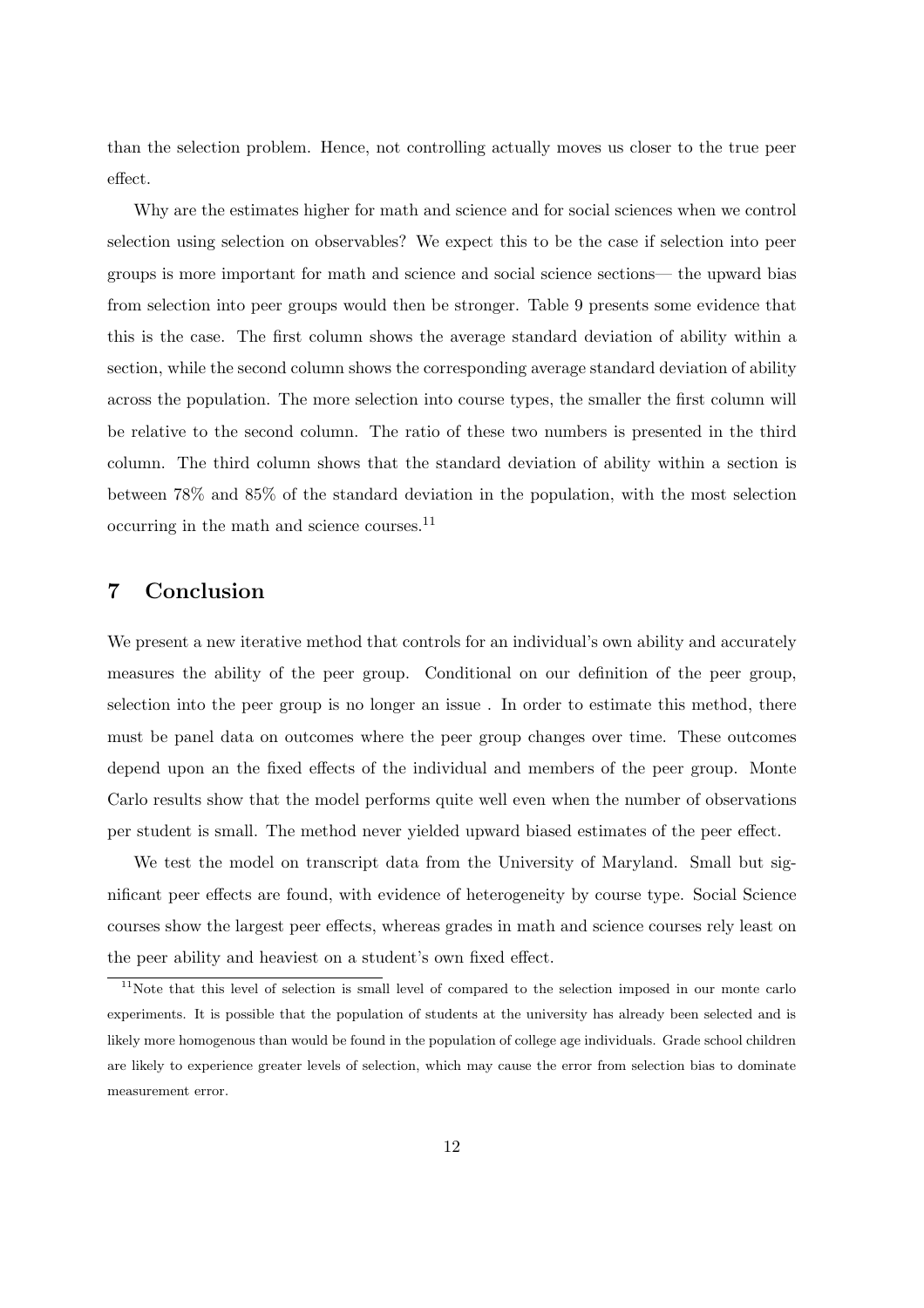than the selection problem. Hence, not controlling actually moves us closer to the true peer effect.

Why are the estimates higher for math and science and for social sciences when we control selection using selection on observables? We expect this to be the case if selection into peer groups is more important for math and science and social science sections— the upward bias from selection into peer groups would then be stronger. Table 9 presents some evidence that this is the case. The first column shows the average standard deviation of ability within a section, while the second column shows the corresponding average standard deviation of ability across the population. The more selection into course types, the smaller the first column will be relative to the second column. The ratio of these two numbers is presented in the third column. The third column shows that the standard deviation of ability within a section is between 78% and 85% of the standard deviation in the population, with the most selection occurring in the math and science courses.<sup>11</sup>

# 7 Conclusion

We present a new iterative method that controls for an individual's own ability and accurately measures the ability of the peer group. Conditional on our definition of the peer group, selection into the peer group is no longer an issue . In order to estimate this method, there must be panel data on outcomes where the peer group changes over time. These outcomes depend upon an the fixed effects of the individual and members of the peer group. Monte Carlo results show that the model performs quite well even when the number of observations per student is small. The method never yielded upward biased estimates of the peer effect.

We test the model on transcript data from the University of Maryland. Small but significant peer effects are found, with evidence of heterogeneity by course type. Social Science courses show the largest peer effects, whereas grades in math and science courses rely least on the peer ability and heaviest on a student's own fixed effect.

<sup>&</sup>lt;sup>11</sup>Note that this level of selection is small level of compared to the selection imposed in our monte carlo experiments. It is possible that the population of students at the university has already been selected and is likely more homogenous than would be found in the population of college age individuals. Grade school children are likely to experience greater levels of selection, which may cause the error from selection bias to dominate measurement error.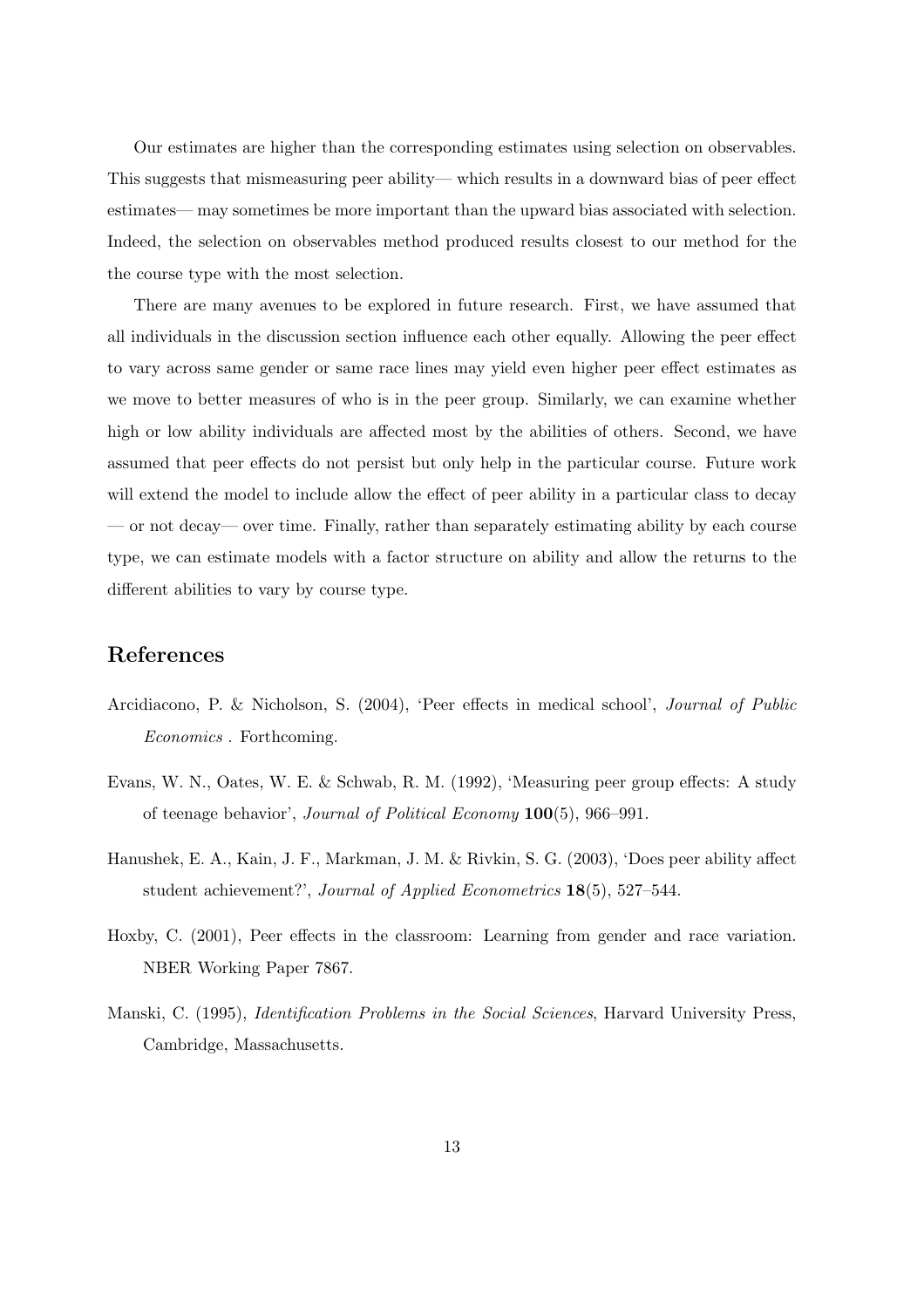Our estimates are higher than the corresponding estimates using selection on observables. This suggests that mismeasuring peer ability— which results in a downward bias of peer effect estimates— may sometimes be more important than the upward bias associated with selection. Indeed, the selection on observables method produced results closest to our method for the the course type with the most selection.

There are many avenues to be explored in future research. First, we have assumed that all individuals in the discussion section influence each other equally. Allowing the peer effect to vary across same gender or same race lines may yield even higher peer effect estimates as we move to better measures of who is in the peer group. Similarly, we can examine whether high or low ability individuals are affected most by the abilities of others. Second, we have assumed that peer effects do not persist but only help in the particular course. Future work will extend the model to include allow the effect of peer ability in a particular class to decay — or not decay— over time. Finally, rather than separately estimating ability by each course type, we can estimate models with a factor structure on ability and allow the returns to the different abilities to vary by course type.

# References

- Arcidiacono, P. & Nicholson, S. (2004), 'Peer effects in medical school', Journal of Public Economics . Forthcoming.
- Evans, W. N., Oates, W. E. & Schwab, R. M. (1992), 'Measuring peer group effects: A study of teenage behavior', Journal of Political Economy 100(5), 966–991.
- Hanushek, E. A., Kain, J. F., Markman, J. M. & Rivkin, S. G. (2003), 'Does peer ability affect student achievement?', Journal of Applied Econometrics 18(5), 527–544.
- Hoxby, C. (2001), Peer effects in the classroom: Learning from gender and race variation. NBER Working Paper 7867.
- Manski, C. (1995), *Identification Problems in the Social Sciences*, Harvard University Press, Cambridge, Massachusetts.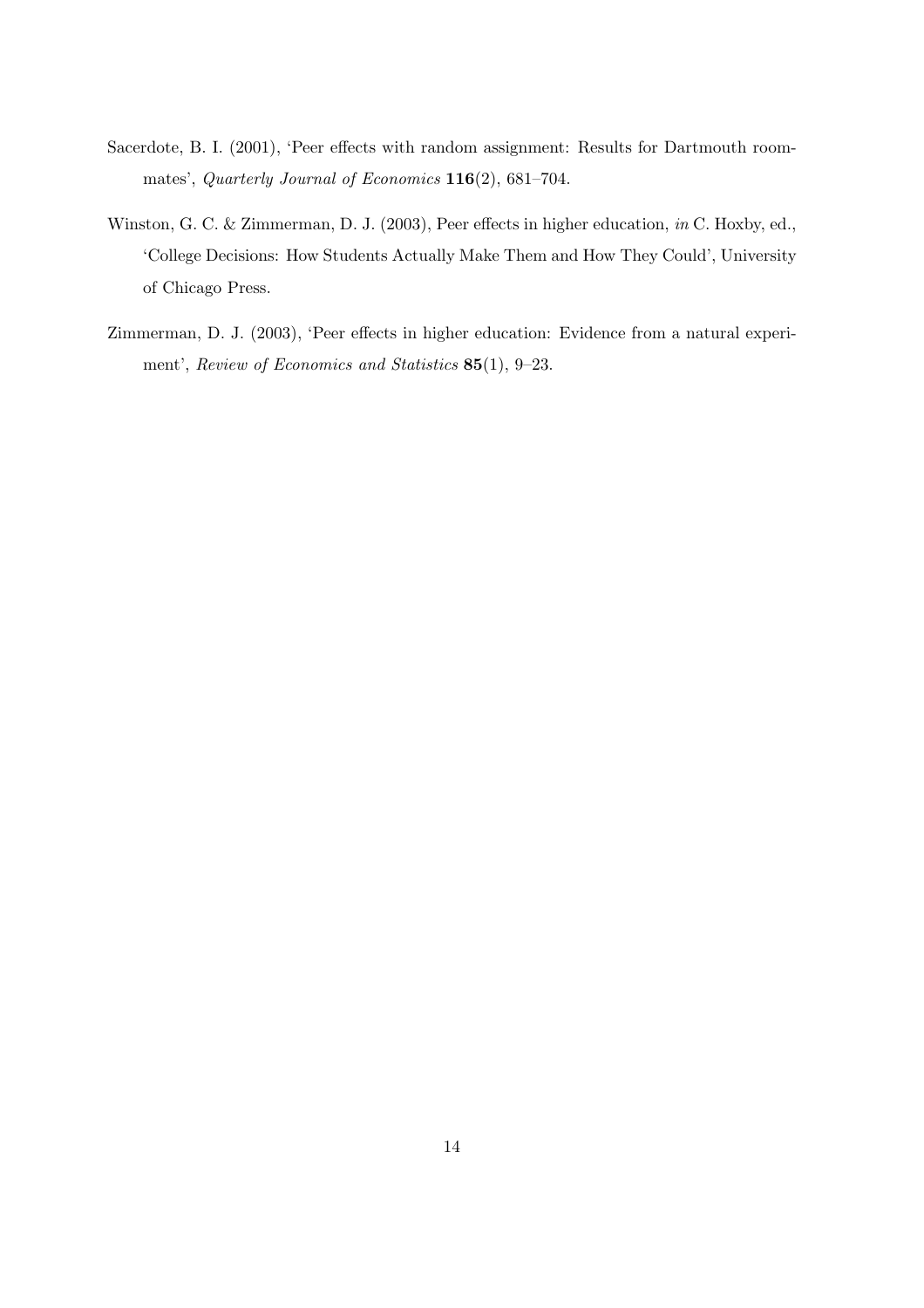- Sacerdote, B. I. (2001), 'Peer effects with random assignment: Results for Dartmouth roommates', Quarterly Journal of Economics 116(2), 681–704.
- Winston, G. C. & Zimmerman, D. J. (2003), Peer effects in higher education, in C. Hoxby, ed., 'College Decisions: How Students Actually Make Them and How They Could', University of Chicago Press.
- Zimmerman, D. J. (2003), 'Peer effects in higher education: Evidence from a natural experiment', Review of Economics and Statistics 85(1), 9–23.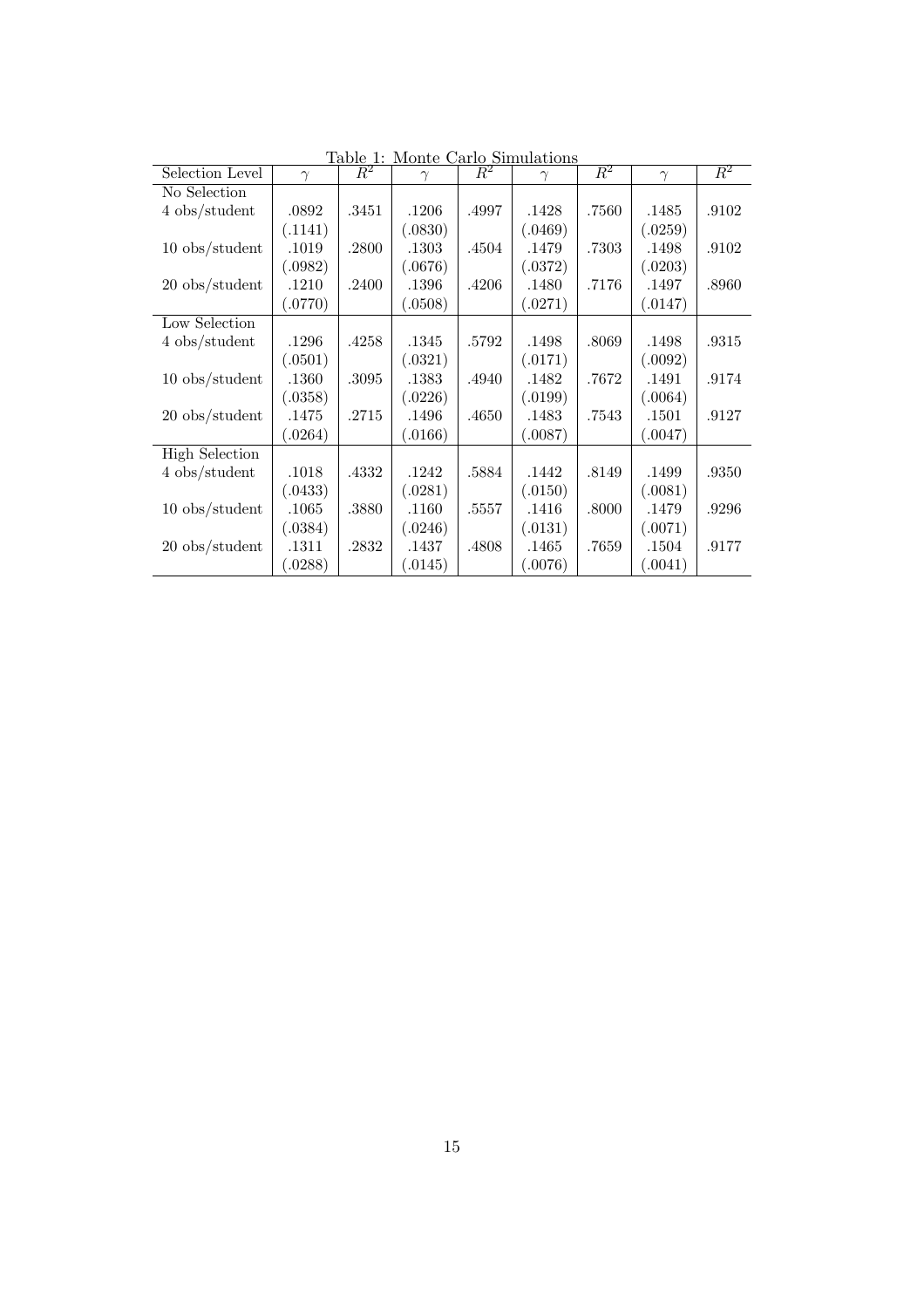| Selection Level       | $\gamma$ |       | $\gamma$ |       | $\frac{1 \text{ and } 1. \text{ Monte Carlo simulations}}{R^2 \rightarrow \gamma \rightarrow R^2 \rightarrow \gamma}$<br>$\gamma$ | $\overline{R^2}$ | $\gamma$ | $\overline{R^2}$ |
|-----------------------|----------|-------|----------|-------|-----------------------------------------------------------------------------------------------------------------------------------|------------------|----------|------------------|
| No Selection          |          |       |          |       |                                                                                                                                   |                  |          |                  |
| 4 obs/student         | .0892    | .3451 | .1206    | .4997 | .1428                                                                                                                             | .7560            | .1485    | .9102            |
|                       | (.1141)  |       | (.0830)  |       | (.0469)                                                                                                                           |                  | (.0259)  |                  |
| $10$ obs/student      | .1019    | .2800 | .1303    | .4504 | .1479                                                                                                                             | .7303            | .1498    | .9102            |
|                       | (.0982)  |       | (.0676)  |       | (.0372)                                                                                                                           |                  | (.0203)  |                  |
| $20$ obs/student      | .1210    | .2400 | .1396    | .4206 | .1480                                                                                                                             | .7176            | .1497    | .8960            |
|                       | (.0770)  |       | 0.508    |       | (.0271)                                                                                                                           |                  | (.0147)  |                  |
| Low Selection         |          |       |          |       |                                                                                                                                   |                  |          |                  |
| 4 obs/student         | .1296    | .4258 | .1345    | .5792 | .1498                                                                                                                             | .8069            | .1498    | .9315            |
|                       | (.0501)  |       | (.0321)  |       | (.0171)                                                                                                                           |                  | (.0092)  |                  |
| $10$ obs/student      | .1360    | .3095 | .1383    | .4940 | .1482                                                                                                                             | .7672            | .1491    | .9174            |
|                       | (.0358)  |       | (.0226)  |       | (.0199)                                                                                                                           |                  | (.0064)  |                  |
| $20$ obs/student      | .1475    | .2715 | .1496    | .4650 | .1483                                                                                                                             | .7543            | .1501    | .9127            |
|                       | (.0264)  |       | (.0166)  |       | (.0087)                                                                                                                           |                  | (.0047)  |                  |
| <b>High Selection</b> |          |       |          |       |                                                                                                                                   |                  |          |                  |
| 4 obs/student         | .1018    | .4332 | .1242    | .5884 | .1442                                                                                                                             | .8149            | .1499    | .9350            |
|                       | (.0433)  |       | (.0281)  |       | (.0150)                                                                                                                           |                  | (.0081)  |                  |
| $10$ obs/student      | .1065    | .3880 | .1160    | .5557 | .1416                                                                                                                             | .8000            | .1479    | .9296            |
|                       | (.0384)  |       | (.0246)  |       | (.0131)                                                                                                                           |                  | (.0071)  |                  |
| $20$ obs/student      | .1311    | .2832 | .1437    | .4808 | .1465                                                                                                                             | .7659            | .1504    | .9177            |
|                       | (.0288)  |       | .0145)   |       | (.0076)                                                                                                                           |                  | (.0041)  |                  |

Table 1: Monte Carlo Simulations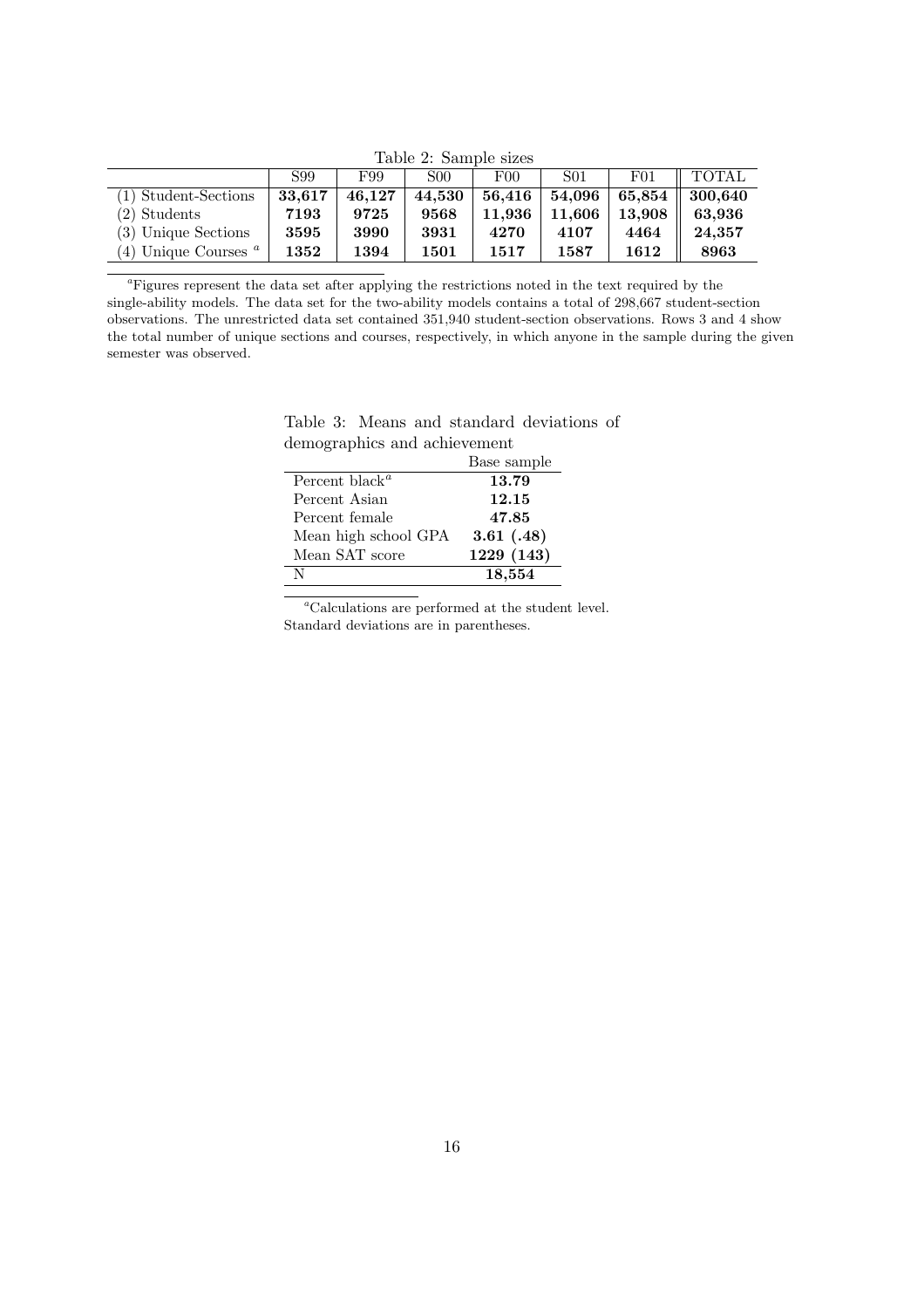Table 2: Sample sizes

|                           | S99    | F99    | S <sub>00</sub> | F <sub>00</sub> | S <sub>01</sub> | F <sub>01</sub> | <b>TOTAL</b> |
|---------------------------|--------|--------|-----------------|-----------------|-----------------|-----------------|--------------|
| (1) Student-Sections      | 33.617 | 46.127 | 44,530          | 56,416          | 54,096          | 65.854          | 300.640      |
| $(2)$ Students            | 7193   | 9725   | 9568            | 11.936          | 11.606          | 13.908          | 63.936       |
| (3) Unique Sections       | 3595   | 3990   | 3931            | 4270            | 4107            | 4464            | 24,357       |
| Unique Courses $a$<br>(4) | 1352   | 1394   | 1501            | 1517            | 1587            | 1612            | 8963         |

<sup>a</sup>Figures represent the data set after applying the restrictions noted in the text required by the single-ability models. The data set for the two-ability models contains a total of 298,667 student-section observations. The unrestricted data set contained 351,940 student-section observations. Rows 3 and 4 show the total number of unique sections and courses, respectively, in which anyone in the sample during the given semester was observed.

Table 3: Means and standard deviations of demographics and achievement

|                                         | Base sample |
|-----------------------------------------|-------------|
| Percent black <sup><math>a</math></sup> | 13.79       |
| Percent Asian                           | 12.15       |
| Percent female                          | 47.85       |
| Mean high school GPA                    | 3.61(0.48)  |
| Mean SAT score                          | 1229 (143)  |
| N                                       | 18,554      |

 $\mathrm{^aCalculations}$  are performed at the student level. Standard deviations are in parentheses.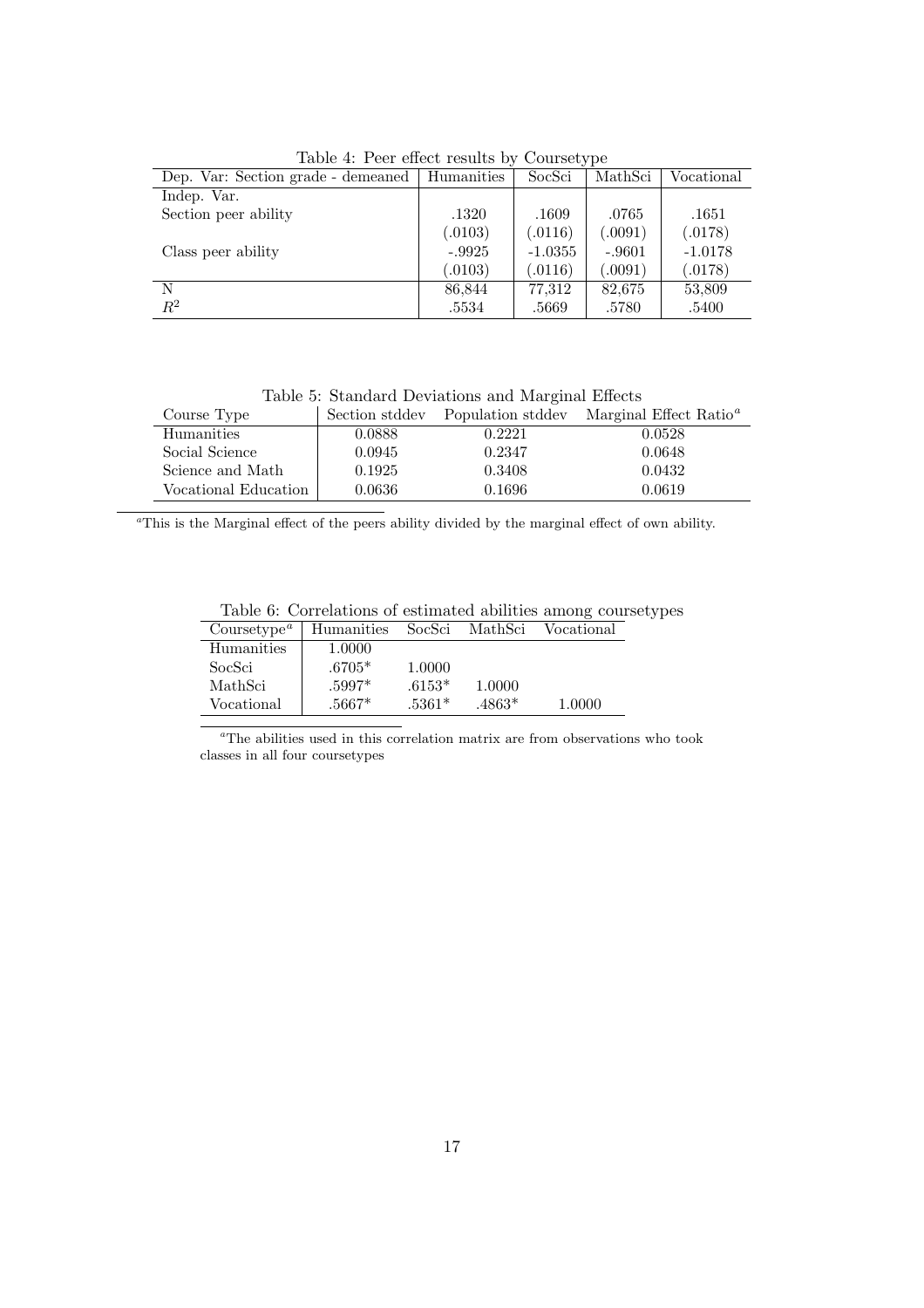| Dep. Var: Section grade - demeaned | Humanities | SocSci    | MathSci  | Vocational |
|------------------------------------|------------|-----------|----------|------------|
| Indep. Var.                        |            |           |          |            |
| Section peer ability               | .1320      | .1609     | .0765    | .1651      |
|                                    | (.0103)    | (.0116)   | (.0091)  | (.0178)    |
| Class peer ability                 | $-.9925$   | $-1.0355$ | $-.9601$ | $-1.0178$  |
|                                    | (.0103)    | (.0116)   | (.0091)  | (.0178)    |
| N                                  | 86.844     | 77.312    | 82.675   | 53,809     |
| $R^2$                              | .5534      | .5669     | .5780    | .5400      |

Table 4: Peer effect results by Coursetype

Table 5: Standard Deviations and Marginal Effects

| Course Type          | Section stddev | Population stddev | Marginal Effect Ratio <sup><math>a</math></sup> |
|----------------------|----------------|-------------------|-------------------------------------------------|
| Humanities           | 0.0888         | 0.2221            | 0.0528                                          |
| Social Science       | 0.0945         | 0.2347            | 0.0648                                          |
| Science and Math     | 0.1925         | 0.3408            | 0.0432                                          |
| Vocational Education | 0.0636         | 0.1696            | 0.0619                                          |

<sup>a</sup>This is the Marginal effect of the peers ability divided by the marginal effect of own ability.

Table 6: Correlations of estimated abilities among coursetypes

| Coursetype <sup><math>a</math></sup> | Humanities | SocSci   | MathSci  | Vocational |
|--------------------------------------|------------|----------|----------|------------|
| Humanities                           | 1.0000     |          |          |            |
| SocSci                               | $.6705*$   | 1.0000   |          |            |
| MathSci                              | .5997*     | $.6153*$ | 1.0000   |            |
| Vocational                           | $.5667*$   | $.5361*$ | $.4863*$ | 1.0000     |

 ${}^a\mathrm{The}$  abilities used in this correlation matrix are from observations who took classes in all four coursetypes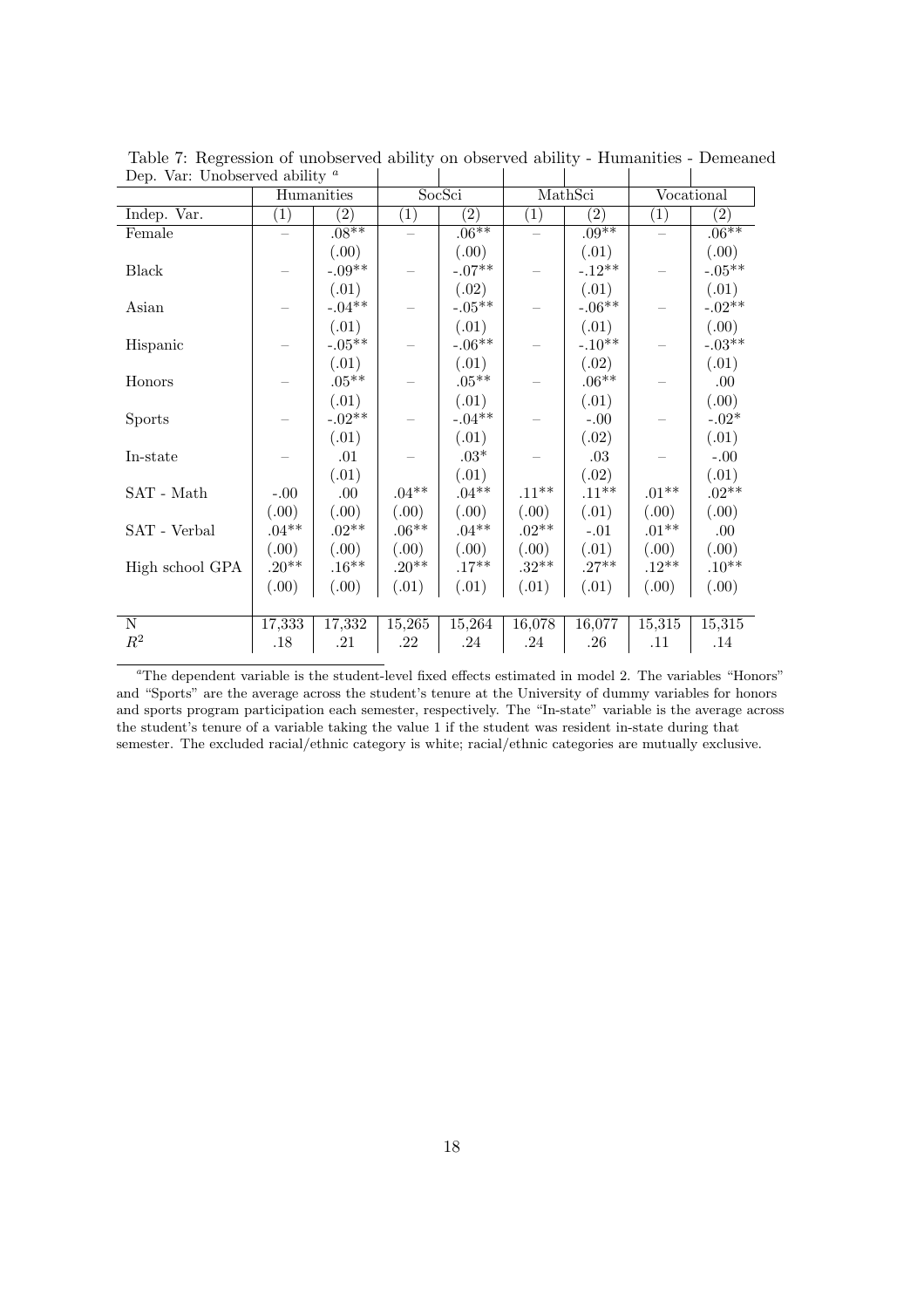| Dep. var. Unobserved ability |                   |                    |                   |                   |                   |          |                   |          |
|------------------------------|-------------------|--------------------|-------------------|-------------------|-------------------|----------|-------------------|----------|
|                              | Humanities        |                    | SocSci            |                   | MathSci           |          | Vocational        |          |
| Indep. Var.                  | $\left( 1\right)$ | $\overline{(2)}$   | $\left( 1\right)$ | $\left( 2\right)$ | $\left( 1\right)$ | (2)      | $\left( 1\right)$ | (2)      |
| Female                       |                   | $.08***$           |                   | $.06***$          |                   | $.09**$  |                   | $.06***$ |
|                              |                   | (.00)              |                   | (0.00)            |                   | (.01)    |                   | (0.00)   |
| <b>Black</b>                 |                   | $-.09**$           |                   | $-.07^{**}$       |                   | $-.12**$ |                   | $-.05**$ |
|                              |                   | (.01)              |                   | (.02)             |                   | (.01)    |                   | (.01)    |
| Asian                        |                   | $\text{-}.04^{**}$ |                   | $-.05**$          |                   | $-.06**$ |                   | $-.02**$ |
|                              |                   | (.01)              |                   | (.01)             |                   | (.01)    |                   | (0.00)   |
| Hispanic                     |                   | $-.05**$           |                   | $-.06**$          |                   | $-.10**$ |                   | $-.03**$ |
|                              |                   | (.01)              |                   | (.01)             |                   | (.02)    |                   | (.01)    |
| Honors                       |                   | $.05***$           |                   | $.05^{\ast\ast}$  |                   | $.06***$ |                   | .00.     |
|                              |                   | (.01)              |                   | (.01)             |                   | (.01)    |                   | (.00)    |
| <b>Sports</b>                |                   | $-.02**$           |                   | $-.04**$          |                   | $-.00$   |                   | $-.02*$  |
|                              |                   | (.01)              |                   | (.01)             |                   | (.02)    |                   | (.01)    |
| In-state                     |                   | .01                |                   | $.03*$            |                   | $.03\,$  |                   | $-.00$   |
|                              |                   | (.01)              |                   | (.01)             |                   | (.02)    |                   | (.01)    |
| SAT - Math                   | $-.00$            | .00.               | $.04***$          | $.04***$          | $.11***$          | $.11***$ | $.01**$           | $.02**$  |
|                              | (00.)             | (.00)              | (0.0)             | (0.0)             | (0.0)             | (.01)    | (0.00)            | (0.00)   |
| SAT - Verbal                 | $.04**$           | $.02**$            | $.06**$           | $.04**$           | $.02**$           | $-.01$   | $.01**$           | .00.     |
|                              | (0.0)             | (.00)              | (0.00)            | (0.0)             | (0.0)             | (.01)    | (0.0)             | (0.00)   |
| High school GPA              | $.20**$           | $.16^{\ast\ast}$   | $.20**$           | $.17***$          | $.32**$           | $.27**$  | $.12**$           | $.10**$  |
|                              | (.00)             | (.00)              | (.01)             | (.01)             | (.01)             | (.01)    | (0.00)            | (.00)    |
|                              |                   |                    |                   |                   |                   |          |                   |          |
| ${\bf N}$                    | 17,333            | 17,332             | 15,265            | 15,264            | 16,078            | 16,077   | 15,315            | 15,315   |
| $R^2$                        | .18               | .21                | $.22\,$           | .24               | .24               | .26      | .11               | .14      |
|                              |                   |                    |                   |                   |                   |          |                   |          |

Table 7: Regression of unobserved ability on observed ability - Humanities - Demeaned Dep. Var: Unobserved ability  $\alpha$ 

<sup>a</sup>The dependent variable is the student-level fixed effects estimated in model 2. The variables "Honors" and "Sports" are the average across the student's tenure at the University of dummy variables for honors and sports program participation each semester, respectively. The "In-state" variable is the average across the student's tenure of a variable taking the value 1 if the student was resident in-state during that semester. The excluded racial/ethnic category is white; racial/ethnic categories are mutually exclusive.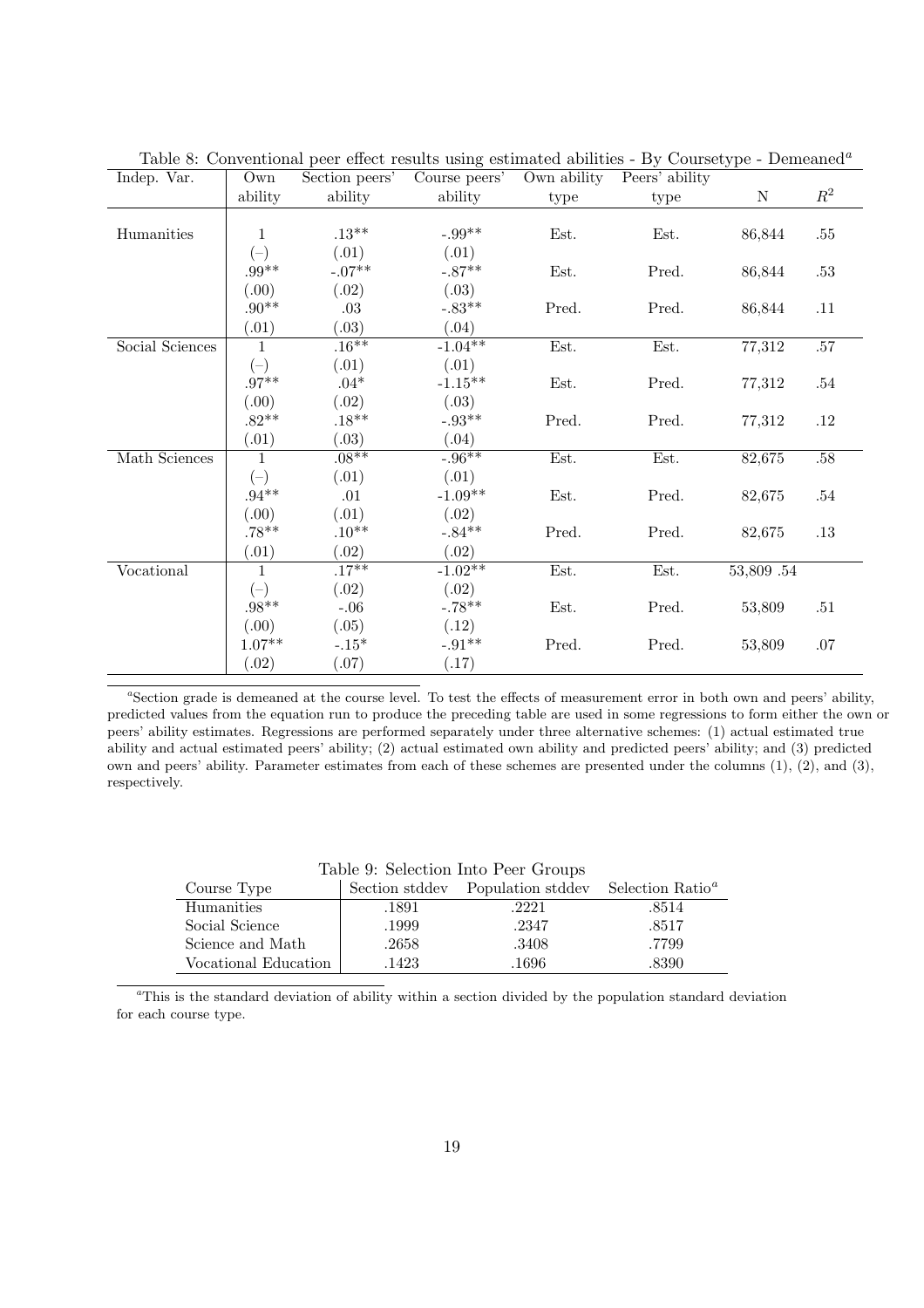| Indep. Var.     | Own               | Section peers' | ີ<br>Course peers'         | Own ability | $\sim$ $\sim$ $\sim$ $\sim$ $\sim$ $\sim$ $\sim$ $\sim$<br>Peers' ability |            |                |
|-----------------|-------------------|----------------|----------------------------|-------------|---------------------------------------------------------------------------|------------|----------------|
|                 | ability           | ability        | ability                    | type        | type                                                                      | ${\rm N}$  | $\mathbb{R}^2$ |
|                 |                   |                |                            |             |                                                                           |            |                |
| Humanities      | 1                 | $.13***$       | $-.99**$                   | Est.        | Est.                                                                      | 86,844     | .55            |
|                 | $(-)$             | (.01)          | (.01)                      |             |                                                                           |            |                |
|                 | $.99^{\ast\ast}$  | $-.07**$       | $-.87**$                   | Est.        | Pred.                                                                     | 86,844     | $.53\,$        |
|                 | (0.00)            | (.02)          | (.03)                      |             |                                                                           |            |                |
|                 | $.90^{\ast\ast}$  | .03            | $-.83**$                   | Pred.       | Pred.                                                                     | 86,844     | .11            |
|                 | (.01)             | (.03)          | (.04)                      |             |                                                                           |            |                |
| Social Sciences | $\mathbf{1}$      | .16**          | $-1.04**$                  | Est.        | Est.                                                                      | 77,312     | .57            |
|                 | $(-)$             | (.01)          | (.01)                      |             |                                                                           |            |                |
|                 | $.97**$           | $.04*$         | $\text{-}1.15^{\text{**}}$ | Est.        | Pred.                                                                     | 77,312     | $.54\,$        |
|                 | (.00)             | (.02)          | (.03)                      |             |                                                                           |            |                |
|                 | $.82**$           | $.18**$        | $-.93**$                   | Pred.       | Pred.                                                                     | 77,312     | .12            |
|                 | (.01)             | (.03)          | (.04)                      |             |                                                                           |            |                |
| Math Sciences   | $\mathbf{1}$      | $.08**$        | $-0.96**$                  | Est.        | Est.                                                                      | 82,675     | .58            |
|                 | $(-)$             | (.01)          | (.01)                      |             |                                                                           |            |                |
|                 | $.94^{\ast\ast}$  | .01            | $-1.09**$                  | Est.        | Pred.                                                                     | 82,675     | .54            |
|                 | (.00)             | (.01)          | (.02)                      |             |                                                                           |            |                |
|                 | $.78***$          | $.10**$        | $-.84**$                   | Pred.       | Pred.                                                                     | 82,675     | .13            |
|                 | (.01)             | (.02)          | (.02)                      |             |                                                                           |            |                |
| Vocational      | $\mathbf{1}$      | $.17***$       | $-1.02**$                  | Est.        | Est.                                                                      | 53,809 .54 |                |
|                 | $(-)$             | (.02)          | (.02)                      |             |                                                                           |            |                |
|                 | $.98***$          | $-.06$         | $-.78**$                   | Est.        | Pred.                                                                     | 53,809     | .51            |
|                 | (0.0)             | (.05)          | (.12)                      |             |                                                                           |            |                |
|                 | $1.07^{\ast\ast}$ | $-.15*$        | $-.91**$                   | Pred.       | Pred.                                                                     | 53,809     | .07            |
|                 | (.02)             | (.07)          | (.17)                      |             |                                                                           |            |                |

Table 8: Conventional peer effect results using estimated abilities - By Coursetype - Demeaned<sup>a</sup>

<sup>a</sup>Section grade is demeaned at the course level. To test the effects of measurement error in both own and peers' ability, predicted values from the equation run to produce the preceding table are used in some regressions to form either the own or peers' ability estimates. Regressions are performed separately under three alternative schemes: (1) actual estimated true ability and actual estimated peers' ability; (2) actual estimated own ability and predicted peers' ability; and (3) predicted own and peers' ability. Parameter estimates from each of these schemes are presented under the columns (1), (2), and (3), respectively.

Table 9: Selection Into Peer Groups

| Course Type          | Section stddev | Population stddev | Selection Ratio <sup><i>a</i></sup> |
|----------------------|----------------|-------------------|-------------------------------------|
| Humanities           | .1891          | .2221             | .8514                               |
| Social Science       | .1999          | .2347             | .8517                               |
| Science and Math     | .2658          | .3408             | .7799                               |
| Vocational Education | .1423          | .1696             | .8390                               |

<sup>a</sup>This is the standard deviation of ability within a section divided by the population standard deviation for each course type.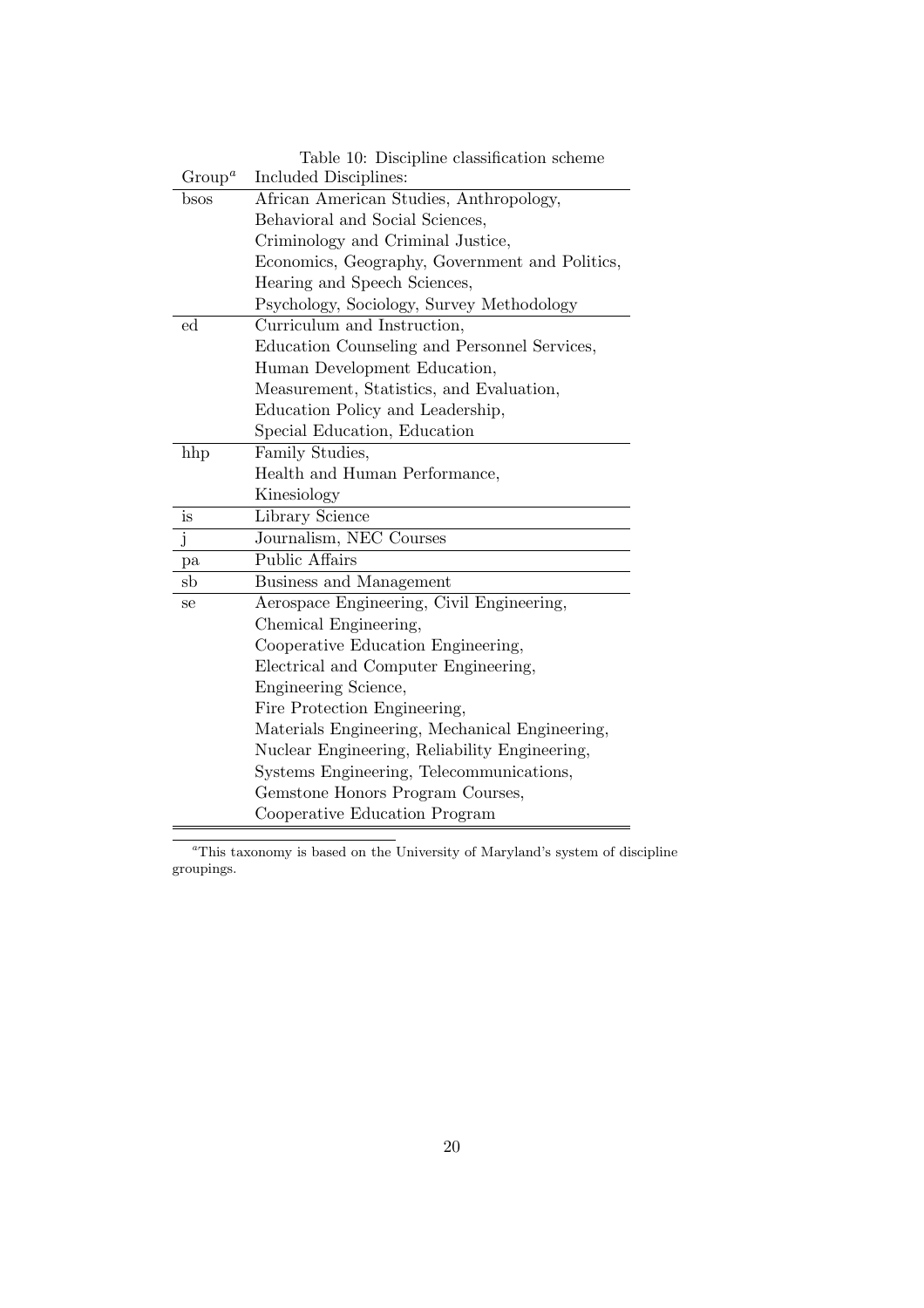|                    | Table 10: Discipline classification scheme     |
|--------------------|------------------------------------------------|
| Group <sup>a</sup> | Included Disciplines:                          |
| bsos               | African American Studies, Anthropology,        |
|                    | Behavioral and Social Sciences,                |
|                    | Criminology and Criminal Justice,              |
|                    | Economics, Geography, Government and Politics, |
|                    | Hearing and Speech Sciences,                   |
|                    | Psychology, Sociology, Survey Methodology      |
| ed                 | Curriculum and Instruction,                    |
|                    | Education Counseling and Personnel Services,   |
|                    | Human Development Education,                   |
|                    | Measurement, Statistics, and Evaluation,       |
|                    | Education Policy and Leadership,               |
|                    | Special Education, Education                   |
| hhp                | Family Studies,                                |
|                    | Health and Human Performance,                  |
|                    | Kinesiology                                    |
| is                 | Library Science                                |
| j                  | Journalism, NEC Courses                        |
| pa                 | <b>Public Affairs</b>                          |
| sb                 | Business and Management                        |
| se                 | Aerospace Engineering, Civil Engineering,      |
|                    | Chemical Engineering,                          |
|                    | Cooperative Education Engineering,             |
|                    | Electrical and Computer Engineering,           |
|                    | Engineering Science,                           |
|                    | Fire Protection Engineering,                   |
|                    | Materials Engineering, Mechanical Engineering, |
|                    | Nuclear Engineering, Reliability Engineering,  |
|                    | Systems Engineering, Telecommunications,       |
|                    | Gemstone Honors Program Courses,               |
|                    | Cooperative Education Program                  |

 $a$ <sup>a</sup>This taxonomy is based on the University of Maryland's system of discipline groupings.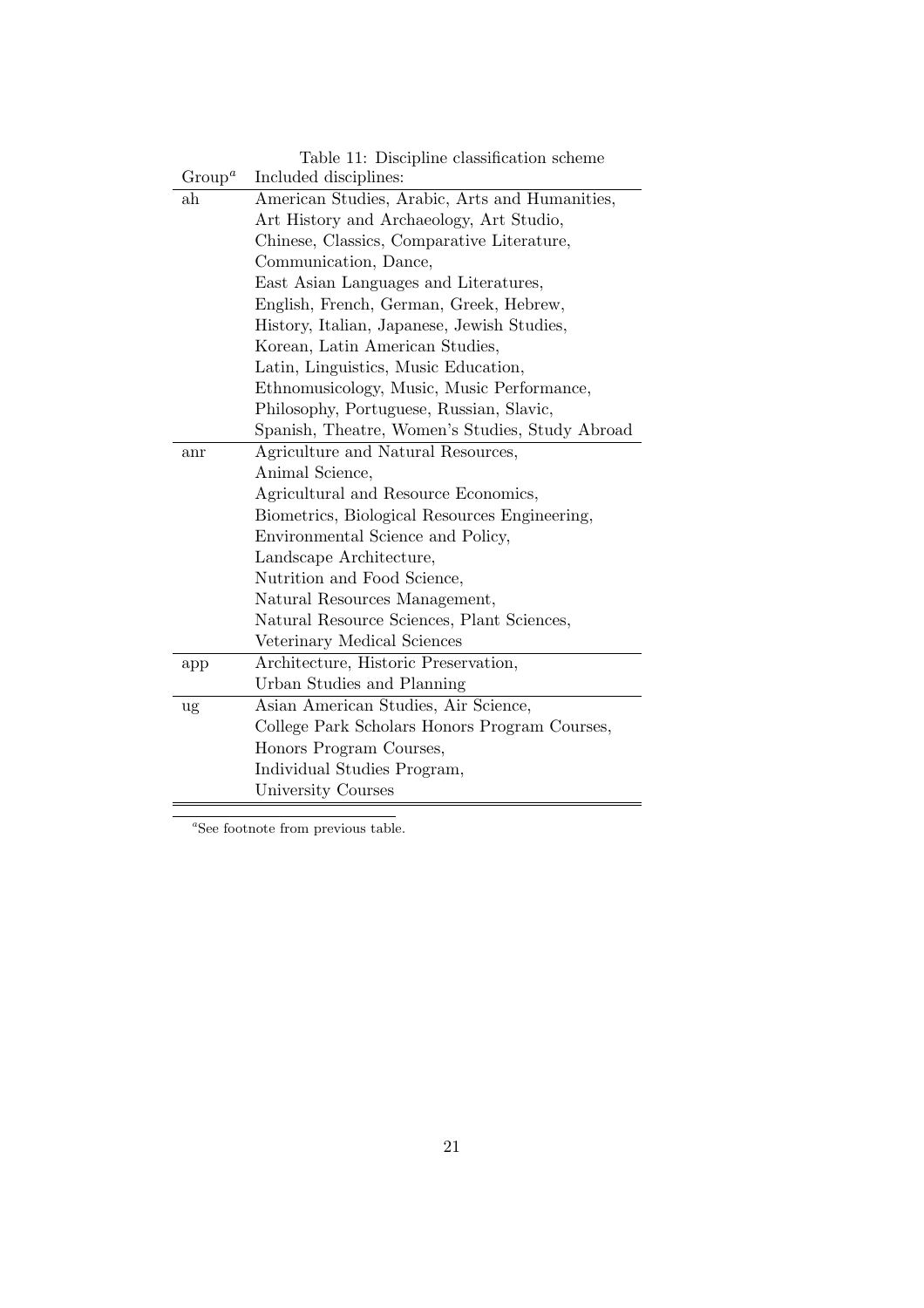|                    | Table 11: Discipline classification scheme      |  |  |  |  |  |
|--------------------|-------------------------------------------------|--|--|--|--|--|
| Group <sup>a</sup> | Included disciplines:                           |  |  |  |  |  |
| ah                 | American Studies, Arabic, Arts and Humanities,  |  |  |  |  |  |
|                    | Art History and Archaeology, Art Studio,        |  |  |  |  |  |
|                    | Chinese, Classics, Comparative Literature,      |  |  |  |  |  |
|                    | Communication, Dance,                           |  |  |  |  |  |
|                    | East Asian Languages and Literatures,           |  |  |  |  |  |
|                    | English, French, German, Greek, Hebrew,         |  |  |  |  |  |
|                    | History, Italian, Japanese, Jewish Studies,     |  |  |  |  |  |
|                    | Korean, Latin American Studies,                 |  |  |  |  |  |
|                    | Latin, Linguistics, Music Education,            |  |  |  |  |  |
|                    | Ethnomusicology, Music, Music Performance,      |  |  |  |  |  |
|                    | Philosophy, Portuguese, Russian, Slavic,        |  |  |  |  |  |
|                    | Spanish, Theatre, Women's Studies, Study Abroad |  |  |  |  |  |
| anr                | Agriculture and Natural Resources,              |  |  |  |  |  |
|                    | Animal Science,                                 |  |  |  |  |  |
|                    | Agricultural and Resource Economics,            |  |  |  |  |  |
|                    | Biometrics, Biological Resources Engineering,   |  |  |  |  |  |
|                    | Environmental Science and Policy,               |  |  |  |  |  |
|                    | Landscape Architecture,                         |  |  |  |  |  |
|                    | Nutrition and Food Science,                     |  |  |  |  |  |
|                    | Natural Resources Management,                   |  |  |  |  |  |
|                    | Natural Resource Sciences, Plant Sciences,      |  |  |  |  |  |
|                    | Veterinary Medical Sciences                     |  |  |  |  |  |
| app                | Architecture, Historic Preservation,            |  |  |  |  |  |
|                    | Urban Studies and Planning                      |  |  |  |  |  |
| ug                 | Asian American Studies, Air Science,            |  |  |  |  |  |
|                    | College Park Scholars Honors Program Courses,   |  |  |  |  |  |
|                    | Honors Program Courses,                         |  |  |  |  |  |
|                    | Individual Studies Program,                     |  |  |  |  |  |
|                    | University Courses                              |  |  |  |  |  |

 $a$ See footnote from previous table.